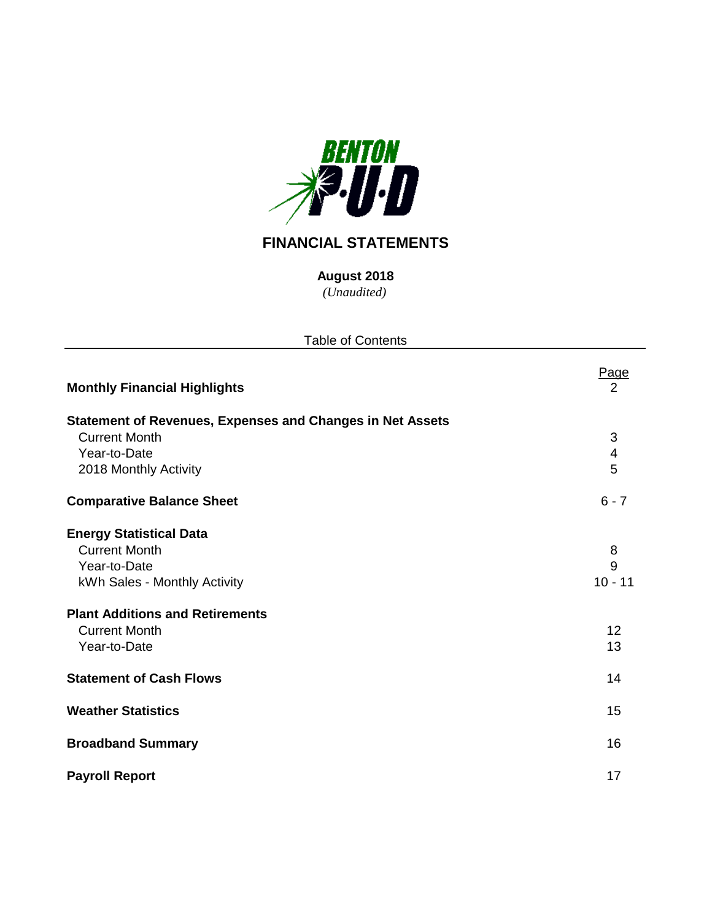

# **FINANCIAL STATEMENTS**

**August 2018**

| <b>Table of Contents</b>                                         |           |  |  |  |  |  |
|------------------------------------------------------------------|-----------|--|--|--|--|--|
| <b>Monthly Financial Highlights</b>                              | Page<br>2 |  |  |  |  |  |
| <b>Statement of Revenues, Expenses and Changes in Net Assets</b> |           |  |  |  |  |  |
| <b>Current Month</b>                                             | 3         |  |  |  |  |  |
| Year-to-Date                                                     | 4         |  |  |  |  |  |
| 2018 Monthly Activity                                            | 5         |  |  |  |  |  |
| <b>Comparative Balance Sheet</b>                                 | $6 - 7$   |  |  |  |  |  |
| <b>Energy Statistical Data</b>                                   |           |  |  |  |  |  |
| <b>Current Month</b>                                             | 8         |  |  |  |  |  |
| Year-to-Date                                                     | 9         |  |  |  |  |  |
| kWh Sales - Monthly Activity                                     | $10 - 11$ |  |  |  |  |  |
| <b>Plant Additions and Retirements</b>                           |           |  |  |  |  |  |
| <b>Current Month</b>                                             | 12        |  |  |  |  |  |
| Year-to-Date                                                     | 13        |  |  |  |  |  |
| <b>Statement of Cash Flows</b>                                   | 14        |  |  |  |  |  |
| <b>Weather Statistics</b>                                        | 15        |  |  |  |  |  |
| <b>Broadband Summary</b>                                         | 16        |  |  |  |  |  |
| <b>Payroll Report</b>                                            | 17        |  |  |  |  |  |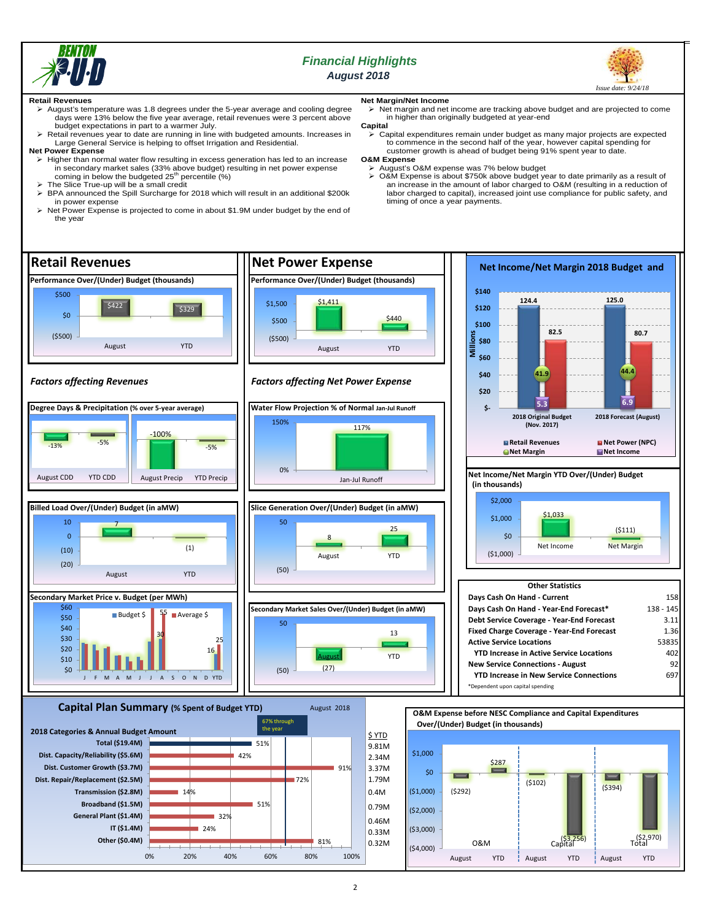

## *Financial Highlights August 2018*



#### **Retail Revenues**

- $\triangleright$  August's temperature was 1.8 degrees under the 5-year average and cooling degree days were 13% below the five year average, retail revenues were 3 percent above budget expectations in part to a warmer July.
- Retail revenues year to date are running in line with budgeted amounts. Increases in Large General Service is helping to offset Irrigation and Residential.
- **Net Power Expense**
- Higher than normal water flow resulting in excess generation has led to an increase in secondary market sales (33% above budget) resulting in net power expense<br>coming in below the budgeted 25<sup>th</sup> percentile (%)
- 
- The Slice True-up will be a small credit BPA announced the Spill Surcharge for 2018 which will result in an additional \$200k in power expense
- Net Power Expense is projected to come in about \$1.9M under budget by the end of the year

## **Net Margin/Net Income**

 $\triangleright$  Net margin and net income are tracking above budget and are projected to come in higher than originally budgeted at year-end

- **Capital**
- Capital expenditures remain under budget as many major projects are expected to commence in the second half of the year, however capital spending for customer growth is ahead of budget being 91% spent year to date.
- **O&M Expense**
	- August's O&M expense was 7% below budget O&M Expense is about \$750k above budget year to date primarily as a result of an increase in the amount of labor charged to O&M (resulting in a reduction of labor charged to capital), increased joint use compliance for public safety, and timing of once a year payments.

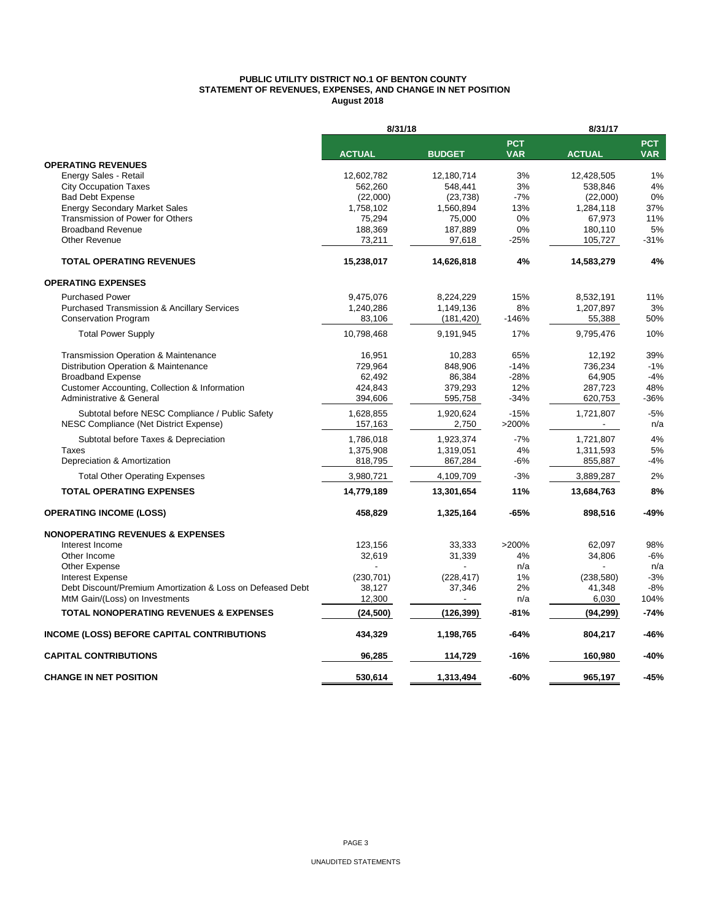#### **PUBLIC UTILITY DISTRICT NO.1 OF BENTON COUNTY STATEMENT OF REVENUES, EXPENSES, AND CHANGE IN NET POSITION August 2018**

|                                                            | 8/31/18       |               | 8/31/17                  |               |                          |  |
|------------------------------------------------------------|---------------|---------------|--------------------------|---------------|--------------------------|--|
|                                                            | <b>ACTUAL</b> | <b>BUDGET</b> | <b>PCT</b><br><b>VAR</b> | <b>ACTUAL</b> | <b>PCT</b><br><b>VAR</b> |  |
| <b>OPERATING REVENUES</b>                                  |               |               |                          |               |                          |  |
| Energy Sales - Retail                                      | 12,602,782    | 12,180,714    | 3%                       | 12,428,505    | 1%                       |  |
| <b>City Occupation Taxes</b>                               | 562,260       | 548,441       | 3%                       | 538,846       | 4%                       |  |
| <b>Bad Debt Expense</b>                                    | (22,000)      | (23, 738)     | $-7%$                    | (22,000)      | 0%                       |  |
| <b>Energy Secondary Market Sales</b>                       | 1,758,102     | 1,560,894     | 13%                      | 1,284,118     | 37%                      |  |
| Transmission of Power for Others                           | 75,294        | 75,000        | 0%                       | 67,973        | 11%                      |  |
| <b>Broadband Revenue</b>                                   | 188,369       | 187,889       | 0%                       | 180,110       | 5%                       |  |
| <b>Other Revenue</b>                                       | 73,211        | 97,618        | $-25%$                   | 105,727       | $-31%$                   |  |
| <b>TOTAL OPERATING REVENUES</b>                            | 15,238,017    | 14,626,818    | 4%                       | 14,583,279    | 4%                       |  |
| <b>OPERATING EXPENSES</b>                                  |               |               |                          |               |                          |  |
| <b>Purchased Power</b>                                     | 9,475,076     | 8,224,229     | 15%                      | 8,532,191     | 11%                      |  |
| <b>Purchased Transmission &amp; Ancillary Services</b>     | 1,240,286     | 1,149,136     | 8%                       | 1,207,897     | 3%                       |  |
| <b>Conservation Program</b>                                | 83,106        | (181, 420)    | $-146%$                  | 55,388        | 50%                      |  |
| <b>Total Power Supply</b>                                  | 10,798,468    | 9,191,945     | 17%                      | 9,795,476     | 10%                      |  |
| Transmission Operation & Maintenance                       | 16,951        | 10,283        | 65%                      | 12,192        | 39%                      |  |
| Distribution Operation & Maintenance                       | 729.964       | 848,906       | $-14%$                   | 736,234       | $-1%$                    |  |
| <b>Broadband Expense</b>                                   | 62,492        | 86,384        | $-28%$                   | 64,905        | $-4%$                    |  |
| Customer Accounting, Collection & Information              | 424,843       | 379,293       | 12%                      | 287,723       | 48%                      |  |
| Administrative & General                                   | 394,606       | 595,758       | $-34%$                   | 620,753       | $-36%$                   |  |
| Subtotal before NESC Compliance / Public Safety            | 1,628,855     | 1,920,624     | $-15%$                   | 1,721,807     | $-5%$                    |  |
| NESC Compliance (Net District Expense)                     | 157,163       | 2,750         | >200%                    |               | n/a                      |  |
| Subtotal before Taxes & Depreciation                       | 1,786,018     | 1,923,374     | $-7%$                    | 1,721,807     | 4%                       |  |
| Taxes                                                      | 1,375,908     | 1,319,051     | 4%                       | 1,311,593     | 5%                       |  |
| Depreciation & Amortization                                | 818,795       | 867,284       | $-6%$                    | 855,887       | $-4%$                    |  |
| <b>Total Other Operating Expenses</b>                      | 3,980,721     | 4,109,709     | $-3%$                    | 3,889,287     | 2%                       |  |
| <b>TOTAL OPERATING EXPENSES</b>                            | 14,779,189    | 13,301,654    | 11%                      | 13,684,763    | 8%                       |  |
| <b>OPERATING INCOME (LOSS)</b>                             | 458,829       | 1,325,164     | -65%                     | 898,516       | $-49%$                   |  |
| <b>NONOPERATING REVENUES &amp; EXPENSES</b>                |               |               |                          |               |                          |  |
| Interest Income                                            | 123,156       | 33,333        | >200%                    | 62,097        | 98%                      |  |
| Other Income                                               | 32,619        | 31,339        | 4%                       | 34,806        | $-6%$                    |  |
| Other Expense                                              |               |               | n/a                      |               | n/a                      |  |
| <b>Interest Expense</b>                                    | (230, 701)    | (228, 417)    | 1%                       | (238,580)     | $-3%$                    |  |
| Debt Discount/Premium Amortization & Loss on Defeased Debt | 38,127        | 37,346        | 2%                       | 41,348        | -8%                      |  |
| MtM Gain/(Loss) on Investments                             | 12,300        |               | n/a                      | 6,030         | 104%                     |  |
| <b>TOTAL NONOPERATING REVENUES &amp; EXPENSES</b>          | (24, 500)     | (126, 399)    | -81%                     | (94, 299)     | $-74%$                   |  |
| <b>INCOME (LOSS) BEFORE CAPITAL CONTRIBUTIONS</b>          | 434,329       | 1,198,765     | -64%                     | 804,217       | -46%                     |  |
| <b>CAPITAL CONTRIBUTIONS</b>                               | 96,285        | 114,729       | -16%                     | 160,980       | $-40%$                   |  |
| <b>CHANGE IN NET POSITION</b>                              | 530,614       | 1,313,494     | $-60%$                   | 965.197       | $-45%$                   |  |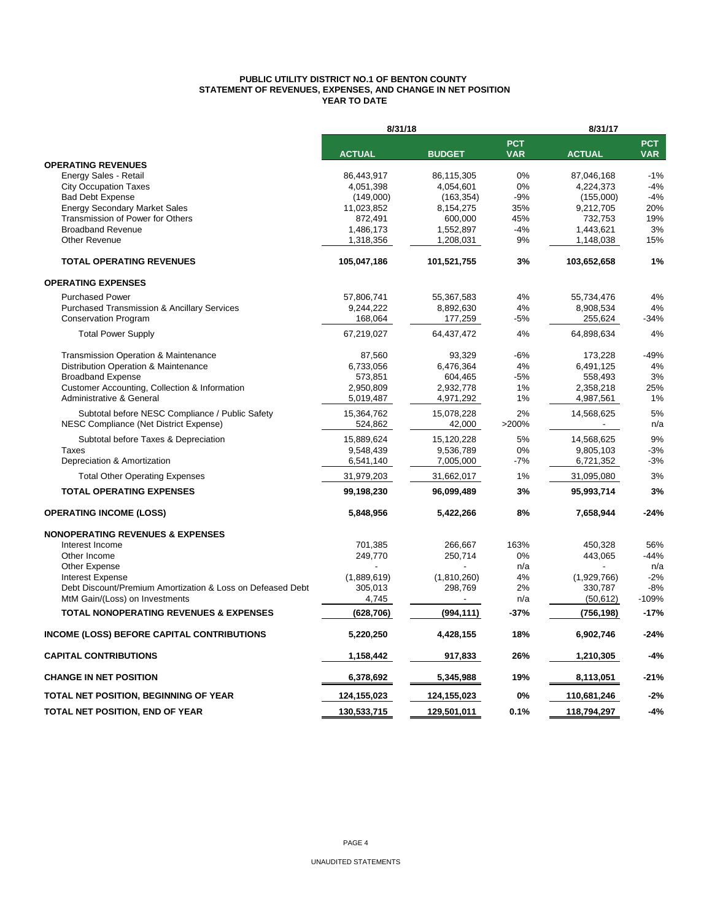#### **PUBLIC UTILITY DISTRICT NO.1 OF BENTON COUNTY STATEMENT OF REVENUES, EXPENSES, AND CHANGE IN NET POSITION YEAR TO DATE**

|                                                            | 8/31/18       |                          |                          | 8/31/17       |                          |  |  |
|------------------------------------------------------------|---------------|--------------------------|--------------------------|---------------|--------------------------|--|--|
|                                                            | <b>ACTUAL</b> | <b>BUDGET</b>            | <b>PCT</b><br><b>VAR</b> | <b>ACTUAL</b> | <b>PCT</b><br><b>VAR</b> |  |  |
| <b>OPERATING REVENUES</b>                                  |               |                          |                          |               |                          |  |  |
| Energy Sales - Retail                                      | 86,443,917    | 86,115,305               | $0\%$                    | 87,046,168    | $-1%$                    |  |  |
| <b>City Occupation Taxes</b>                               | 4,051,398     | 4,054,601                | 0%                       | 4,224,373     | $-4%$                    |  |  |
| <b>Bad Debt Expense</b>                                    | (149,000)     | (163, 354)               | $-9%$                    | (155,000)     | $-4%$                    |  |  |
| <b>Energy Secondary Market Sales</b>                       | 11,023,852    | 8,154,275                | 35%                      | 9,212,705     | 20%                      |  |  |
| Transmission of Power for Others                           | 872,491       | 600,000                  | 45%                      | 732,753       | 19%                      |  |  |
| <b>Broadband Revenue</b>                                   | 1,486,173     | 1,552,897                | $-4%$                    | 1,443,621     | 3%                       |  |  |
| Other Revenue                                              | 1,318,356     | 1,208,031                | 9%                       | 1,148,038     | 15%                      |  |  |
| <b>TOTAL OPERATING REVENUES</b>                            | 105,047,186   | 101,521,755              | 3%                       | 103,652,658   | 1%                       |  |  |
| <b>OPERATING EXPENSES</b>                                  |               |                          |                          |               |                          |  |  |
| <b>Purchased Power</b>                                     | 57,806,741    | 55,367,583               | 4%                       | 55,734,476    | 4%                       |  |  |
| <b>Purchased Transmission &amp; Ancillary Services</b>     | 9,244,222     | 8,892,630                | 4%                       | 8,908,534     | 4%                       |  |  |
| <b>Conservation Program</b>                                | 168,064       | 177,259                  | -5%                      | 255,624       | $-34%$                   |  |  |
| <b>Total Power Supply</b>                                  | 67,219,027    | 64,437,472               | 4%                       | 64,898,634    | 4%                       |  |  |
| Transmission Operation & Maintenance                       | 87,560        | 93,329                   | $-6%$                    | 173,228       | $-49%$                   |  |  |
| Distribution Operation & Maintenance                       | 6,733,056     | 6,476,364                | 4%                       | 6,491,125     | 4%                       |  |  |
| <b>Broadband Expense</b>                                   | 573,851       | 604,465                  | $-5%$                    | 558,493       | 3%                       |  |  |
| Customer Accounting, Collection & Information              | 2,950,809     | 2,932,778                | 1%                       | 2,358,218     | 25%                      |  |  |
| Administrative & General                                   | 5,019,487     | 4,971,292                | 1%                       | 4,987,561     | 1%                       |  |  |
| Subtotal before NESC Compliance / Public Safety            | 15,364,762    | 15,078,228               | 2%                       | 14,568,625    | 5%                       |  |  |
| NESC Compliance (Net District Expense)                     | 524,862       | 42,000                   | >200%                    |               | n/a                      |  |  |
| Subtotal before Taxes & Depreciation                       | 15,889,624    | 15,120,228               | 5%                       | 14,568,625    | 9%                       |  |  |
| Taxes                                                      | 9,548,439     | 9,536,789                | $0\%$                    | 9,805,103     | $-3%$                    |  |  |
| Depreciation & Amortization                                | 6,541,140     | 7,005,000                | $-7%$                    | 6,721,352     | $-3%$                    |  |  |
| <b>Total Other Operating Expenses</b>                      | 31,979,203    | 31,662,017               | 1%                       | 31,095,080    | 3%                       |  |  |
| <b>TOTAL OPERATING EXPENSES</b>                            | 99,198,230    | 96.099,489               | 3%                       | 95,993,714    | 3%                       |  |  |
| <b>OPERATING INCOME (LOSS)</b>                             | 5,848,956     | 5,422,266                | 8%                       | 7,658,944     | $-24%$                   |  |  |
| <b>NONOPERATING REVENUES &amp; EXPENSES</b>                |               |                          |                          |               |                          |  |  |
| Interest Income                                            | 701,385       | 266,667                  | 163%                     | 450,328       | 56%                      |  |  |
| Other Income                                               | 249,770       | 250,714                  | 0%                       | 443,065       | $-44%$                   |  |  |
| Other Expense                                              |               |                          | n/a                      |               | n/a                      |  |  |
| <b>Interest Expense</b>                                    | (1,889,619)   | (1,810,260)              | 4%                       | (1,929,766)   | $-2%$                    |  |  |
| Debt Discount/Premium Amortization & Loss on Defeased Debt | 305,013       | 298,769                  | 2%                       | 330,787       | $-8%$                    |  |  |
| MtM Gain/(Loss) on Investments                             | 4,745         | $\overline{\phantom{a}}$ | n/a                      | (50, 612)     | $-109%$                  |  |  |
| <b>TOTAL NONOPERATING REVENUES &amp; EXPENSES</b>          | (628, 706)    | (994, 111)               | -37%                     | (756, 198)    | $-17%$                   |  |  |
| <b>INCOME (LOSS) BEFORE CAPITAL CONTRIBUTIONS</b>          | 5,220,250     | 4,428,155                | 18%                      | 6,902,746     | $-24%$                   |  |  |
| <b>CAPITAL CONTRIBUTIONS</b>                               | 1,158,442     | 917,833                  | 26%                      | 1,210,305     | $-4%$                    |  |  |
| <b>CHANGE IN NET POSITION</b>                              | 6,378,692     | 5,345,988                | 19%                      | 8,113,051     | $-21%$                   |  |  |
| TOTAL NET POSITION, BEGINNING OF YEAR                      | 124,155,023   | 124,155,023              | 0%                       | 110,681,246   | $-2%$                    |  |  |
| TOTAL NET POSITION, END OF YEAR                            |               |                          | 0.1%                     |               | $-4%$                    |  |  |
|                                                            | 130,533,715   | 129,501,011              |                          | 118,794,297   |                          |  |  |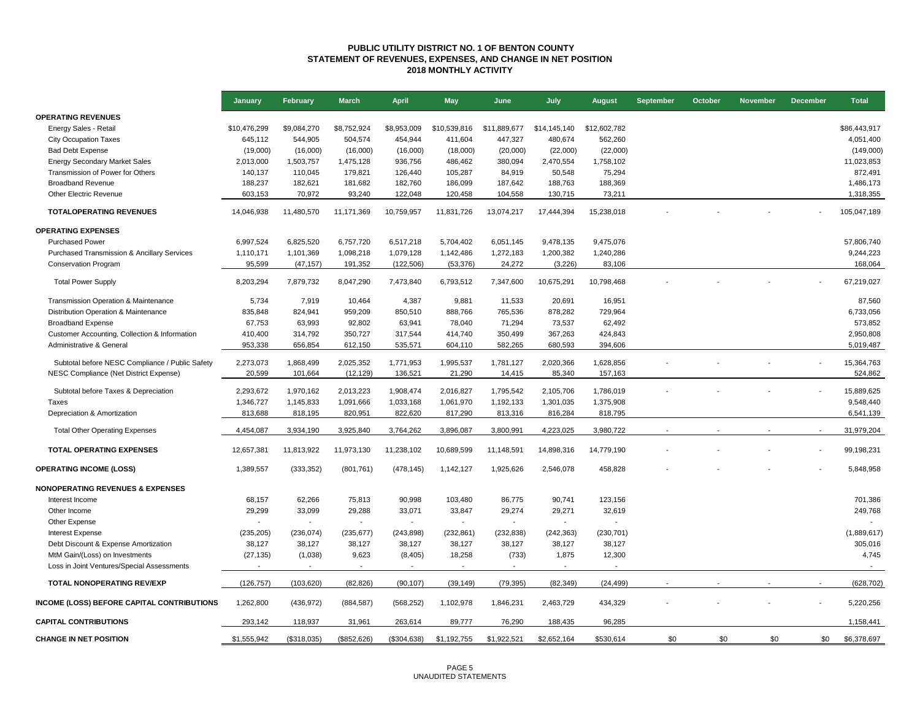#### **PUBLIC UTILITY DISTRICT NO. 1 OF BENTON COUNTY STATEMENT OF REVENUES, EXPENSES, AND CHANGE IN NET POSITION 2018 MONTHLY ACTIVITY**

|                                                   | January      | February    | <b>March</b> | <b>April</b>             | <b>May</b>   | June         | July         | <b>August</b> | <b>September</b> | October | <b>November</b> | <b>December</b> | <b>Total</b> |
|---------------------------------------------------|--------------|-------------|--------------|--------------------------|--------------|--------------|--------------|---------------|------------------|---------|-----------------|-----------------|--------------|
| <b>OPERATING REVENUES</b>                         |              |             |              |                          |              |              |              |               |                  |         |                 |                 |              |
| Energy Sales - Retail                             | \$10,476,299 | \$9,084,270 | \$8,752,924  | \$8,953,009              | \$10,539,816 | \$11,889,677 | \$14,145,140 | \$12,602,782  |                  |         |                 |                 | \$86,443,917 |
| <b>City Occupation Taxes</b>                      | 645,112      | 544,905     | 504,574      | 454,944                  | 411,604      | 447,327      | 480,674      | 562,260       |                  |         |                 |                 | 4,051,400    |
| <b>Bad Debt Expense</b>                           | (19,000)     | (16,000)    | (16,000)     | (16,000)                 | (18,000)     | (20,000)     | (22,000)     | (22,000)      |                  |         |                 |                 | (149,000)    |
| <b>Energy Secondary Market Sales</b>              | 2,013,000    | 1,503,757   | 1,475,128    | 936,756                  | 486,462      | 380,094      | 2,470,554    | 1,758,102     |                  |         |                 |                 | 11,023,853   |
| Transmission of Power for Others                  | 140,137      | 110,045     | 179,821      | 126,440                  | 105,287      | 84,919       | 50,548       | 75,294        |                  |         |                 |                 | 872,491      |
| <b>Broadband Revenue</b>                          | 188,237      | 182,621     | 181,682      | 182,760                  | 186,099      | 187,642      | 188,763      | 188,369       |                  |         |                 |                 | 1,486,173    |
| Other Electric Revenue                            | 603,153      | 70,972      | 93,240       | 122,048                  | 120,458      | 104,558      | 130,715      | 73,211        |                  |         |                 |                 | 1,318,355    |
| <b>TOTALOPERATING REVENUES</b>                    | 14,046,938   | 11,480,570  | 11,171,369   | 10,759,957               | 11,831,726   | 13,074,217   | 17,444,394   | 15,238,018    |                  |         |                 |                 | 105,047,189  |
| <b>OPERATING EXPENSES</b>                         |              |             |              |                          |              |              |              |               |                  |         |                 |                 |              |
| <b>Purchased Power</b>                            | 6,997,524    | 6,825,520   | 6,757,720    | 6,517,218                | 5,704,402    | 6,051,145    | 9,478,135    | 9,475,076     |                  |         |                 |                 | 57,806,740   |
| Purchased Transmission & Ancillary Services       | 1,110,171    | 1,101,369   | 1,098,218    | 1,079,128                | 1,142,486    | 1,272,183    | 1,200,382    | 1,240,286     |                  |         |                 |                 | 9,244,223    |
| <b>Conservation Program</b>                       | 95,599       | (47, 157)   | 191,352      | (122, 506)               | (53, 376)    | 24,272       | (3,226)      | 83,106        |                  |         |                 |                 | 168,064      |
| <b>Total Power Supply</b>                         | 8,203,294    | 7,879,732   | 8,047,290    | 7,473,840                | 6,793,512    | 7,347,600    | 10,675,291   | 10,798,468    |                  |         |                 |                 | 67,219,027   |
| Transmission Operation & Maintenance              | 5,734        | 7,919       | 10,464       | 4,387                    | 9,881        | 11,533       | 20,691       | 16,951        |                  |         |                 |                 | 87,560       |
| Distribution Operation & Maintenance              | 835,848      | 824,941     | 959,209      | 850,510                  | 888,766      | 765,536      | 878,282      | 729,964       |                  |         |                 |                 | 6,733,056    |
| <b>Broadband Expense</b>                          | 67,753       | 63,993      | 92,802       | 63,941                   | 78,040       | 71,294       | 73,537       | 62,492        |                  |         |                 |                 | 573,852      |
| Customer Accounting, Collection & Information     | 410,400      | 314,792     | 350,727      | 317,544                  | 414,740      | 350,499      | 367,263      | 424,843       |                  |         |                 |                 | 2,950,808    |
| Administrative & General                          | 953,338      | 656,854     | 612,150      | 535,571                  | 604,110      | 582,265      | 680,593      | 394,606       |                  |         |                 |                 | 5,019,487    |
|                                                   |              |             |              |                          |              |              |              |               |                  |         |                 |                 |              |
| Subtotal before NESC Compliance / Public Safety   | 2,273,073    | 1,868,499   | 2,025,352    | 1,771,953                | 1,995,537    | 1,781,127    | 2,020,366    | 1,628,856     |                  |         |                 |                 | 15,364,763   |
| NESC Compliance (Net District Expense)            | 20,599       | 101,664     | (12, 129)    | 136,521                  | 21,290       | 14,415       | 85,340       | 157,163       |                  |         |                 |                 | 524,862      |
| Subtotal before Taxes & Depreciation              | 2,293,672    | 1,970,162   | 2,013,223    | 1,908,474                | 2,016,827    | 1,795,542    | 2,105,706    | 1,786,019     |                  |         |                 |                 | 15,889,625   |
| <b>Taxes</b>                                      | 1,346,727    | 1,145,833   | 1,091,666    | 1,033,168                | 1,061,970    | 1,192,133    | 1,301,035    | 1,375,908     |                  |         |                 |                 | 9,548,440    |
| Depreciation & Amortization                       | 813,688      | 818,195     | 820,951      | 822,620                  | 817,290      | 813,316      | 816,284      | 818,795       |                  |         |                 |                 | 6,541,139    |
| <b>Total Other Operating Expenses</b>             | 4,454,087    | 3,934,190   | 3,925,840    | 3,764,262                | 3,896,087    | 3,800,991    | 4,223,025    | 3,980,722     |                  |         |                 |                 | 31,979,204   |
| TOTAL OPERATING EXPENSES                          | 12,657,381   | 11,813,922  | 11,973,130   | 11,238,102               | 10,689,599   | 11,148,591   | 14,898,316   | 14,779,190    |                  |         |                 |                 | 99,198,231   |
| <b>OPERATING INCOME (LOSS)</b>                    | 1,389,557    | (333, 352)  | (801, 761)   | (478, 145)               | 1,142,127    | 1,925,626    | 2,546,078    | 458,828       |                  |         |                 |                 | 5,848,958    |
| <b>NONOPERATING REVENUES &amp; EXPENSES</b>       |              |             |              |                          |              |              |              |               |                  |         |                 |                 |              |
| Interest Income                                   | 68,157       | 62,266      | 75,813       | 90,998                   | 103,480      | 86,775       | 90,741       | 123,156       |                  |         |                 |                 | 701,386      |
| Other Income                                      | 29,299       | 33,099      | 29,288       | 33,071                   | 33,847       | 29,274       | 29,271       | 32,619        |                  |         |                 |                 | 249,768      |
| Other Expense                                     |              |             |              | $\overline{\phantom{a}}$ |              |              |              |               |                  |         |                 |                 |              |
| Interest Expense                                  | (235, 205)   | (236, 074)  | (235, 677)   | (243, 898)               | (232, 861)   | (232, 838)   | (242, 363)   | (230, 701)    |                  |         |                 |                 | (1,889,617)  |
| Debt Discount & Expense Amortization              | 38,127       | 38,127      | 38,127       | 38,127                   | 38,127       | 38,127       | 38,127       | 38,127        |                  |         |                 |                 | 305,016      |
| MtM Gain/(Loss) on Investments                    | (27, 135)    | (1,038)     | 9,623        | (8, 405)                 | 18,258       | (733)        | 1,875        | 12,300        |                  |         |                 |                 | 4,745        |
| Loss in Joint Ventures/Special Assessments        |              |             |              |                          |              |              |              |               |                  |         |                 |                 |              |
| TOTAL NONOPERATING REV/EXP                        | (126, 757)   | (103, 620)  | (82, 826)    | (90, 107)                | (39, 149)    | (79, 395)    | (82, 349)    | (24, 499)     |                  |         |                 |                 | (628, 702)   |
| <b>INCOME (LOSS) BEFORE CAPITAL CONTRIBUTIONS</b> | 1,262,800    | (436, 972)  | (884, 587)   | (568, 252)               | 1,102,978    | 1,846,231    | 2,463,729    | 434,329       |                  |         |                 |                 | 5,220,256    |
| <b>CAPITAL CONTRIBUTIONS</b>                      | 293,142      | 118,937     | 31,961       | 263,614                  | 89,777       | 76,290       | 188,435      | 96,285        |                  |         |                 |                 | 1,158,441    |
| <b>CHANGE IN NET POSITION</b>                     | \$1,555,942  | (\$318,035) | (\$852, 626) | (\$304,638)              | \$1,192,755  | \$1,922,521  | \$2,652,164  | \$530,614     | \$0              | \$0     | \$0             | \$0             | \$6,378,697  |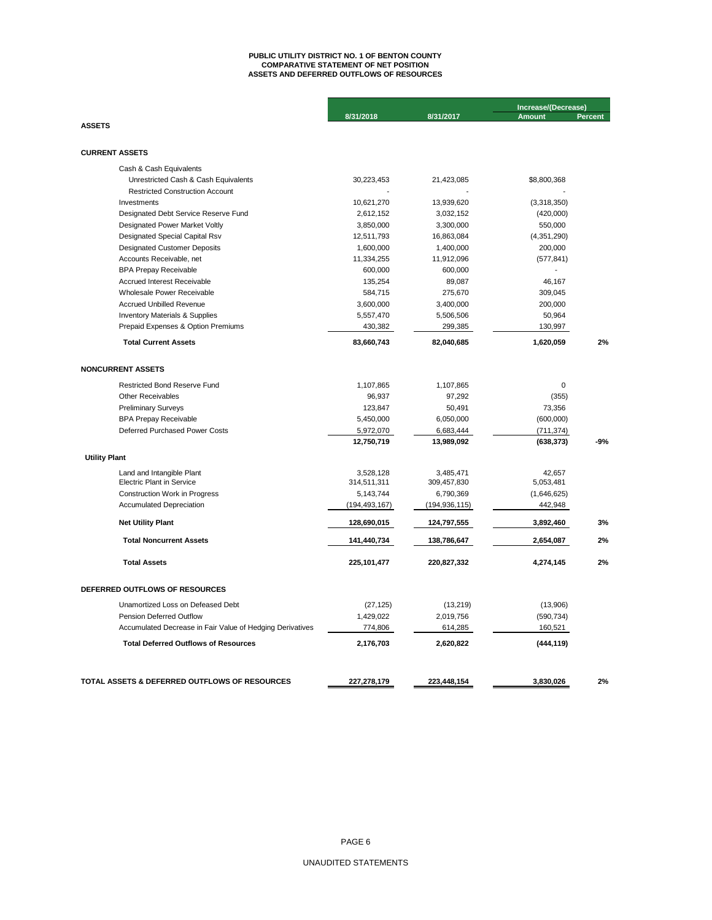## **ASSETS AND DEFERRED OUTFLOWS OF RESOURCES PUBLIC UTILITY DISTRICT NO. 1 OF BENTON COUNTY COMPARATIVE STATEMENT OF NET POSITION**

|                                                           |                 |                 | Increase/(Decrease) |                |  |
|-----------------------------------------------------------|-----------------|-----------------|---------------------|----------------|--|
|                                                           | 8/31/2018       | 8/31/2017       | <b>Amount</b>       | <b>Percent</b> |  |
| <b>ASSETS</b>                                             |                 |                 |                     |                |  |
|                                                           |                 |                 |                     |                |  |
| <b>CURRENT ASSETS</b>                                     |                 |                 |                     |                |  |
| Cash & Cash Equivalents                                   |                 |                 |                     |                |  |
| Unrestricted Cash & Cash Equivalents                      | 30,223,453      | 21,423,085      | \$8,800,368         |                |  |
| <b>Restricted Construction Account</b>                    |                 |                 |                     |                |  |
| Investments                                               | 10,621,270      | 13,939,620      | (3,318,350)         |                |  |
| Designated Debt Service Reserve Fund                      | 2,612,152       | 3,032,152       | (420,000)           |                |  |
| Designated Power Market Voltly                            | 3,850,000       | 3,300,000       | 550,000             |                |  |
| Designated Special Capital Rsv                            | 12,511,793      | 16,863,084      | (4,351,290)         |                |  |
| <b>Designated Customer Deposits</b>                       | 1,600,000       | 1,400,000       | 200,000             |                |  |
| Accounts Receivable, net                                  | 11,334,255      | 11,912,096      | (577, 841)          |                |  |
| <b>BPA Prepay Receivable</b>                              | 600,000         | 600,000         |                     |                |  |
| Accrued Interest Receivable                               | 135,254         | 89,087          | 46,167              |                |  |
| Wholesale Power Receivable                                | 584,715         | 275,670         | 309,045             |                |  |
| <b>Accrued Unbilled Revenue</b>                           | 3,600,000       | 3,400,000       | 200,000             |                |  |
| <b>Inventory Materials &amp; Supplies</b>                 | 5,557,470       | 5,506,506       | 50,964              |                |  |
| Prepaid Expenses & Option Premiums                        | 430,382         | 299,385         | 130,997             |                |  |
| <b>Total Current Assets</b>                               | 83,660,743      | 82,040,685      | 1,620,059           | 2%             |  |
| <b>NONCURRENT ASSETS</b>                                  |                 |                 |                     |                |  |
| <b>Restricted Bond Reserve Fund</b>                       | 1,107,865       | 1,107,865       | 0                   |                |  |
| <b>Other Receivables</b>                                  | 96,937          | 97,292          | (355)               |                |  |
| <b>Preliminary Surveys</b>                                | 123,847         | 50,491          | 73,356              |                |  |
| <b>BPA Prepay Receivable</b>                              | 5,450,000       | 6,050,000       | (600,000)           |                |  |
| Deferred Purchased Power Costs                            | 5,972,070       | 6,683,444       | (711, 374)          |                |  |
|                                                           | 12,750,719      | 13,989,092      | (638, 373)          | $-9%$          |  |
| <b>Utility Plant</b>                                      |                 |                 |                     |                |  |
| Land and Intangible Plant                                 | 3,528,128       | 3,485,471       | 42,657              |                |  |
| <b>Electric Plant in Service</b>                          | 314,511,311     | 309,457,830     | 5,053,481           |                |  |
| <b>Construction Work in Progress</b>                      | 5,143,744       | 6,790,369       | (1,646,625)         |                |  |
| <b>Accumulated Depreciation</b>                           | (194, 493, 167) | (194, 936, 115) | 442,948             |                |  |
| <b>Net Utility Plant</b>                                  | 128,690,015     | 124,797,555     | 3,892,460           | 3%             |  |
| <b>Total Noncurrent Assets</b>                            | 141,440,734     | 138,786,647     | 2,654,087           | 2%             |  |
| <b>Total Assets</b>                                       | 225,101,477     | 220,827,332     | 4,274,145           | 2%             |  |
| DEFERRED OUTFLOWS OF RESOURCES                            |                 |                 |                     |                |  |
| Unamortized Loss on Defeased Debt                         | (27, 125)       | (13, 219)       | (13,906)            |                |  |
| <b>Pension Deferred Outflow</b>                           | 1,429,022       | 2,019,756       | (590, 734)          |                |  |
| Accumulated Decrease in Fair Value of Hedging Derivatives | 774,806         | 614,285         | 160,521             |                |  |
|                                                           |                 |                 |                     |                |  |
| <b>Total Deferred Outflows of Resources</b>               | 2,176,703       | 2,620,822       | (444, 119)          |                |  |
|                                                           |                 |                 |                     |                |  |
| TOTAL ASSETS & DEFERRED OUTFLOWS OF RESOURCES             | 227,278,179     | 223,448,154     | 3,830,026           | 2%             |  |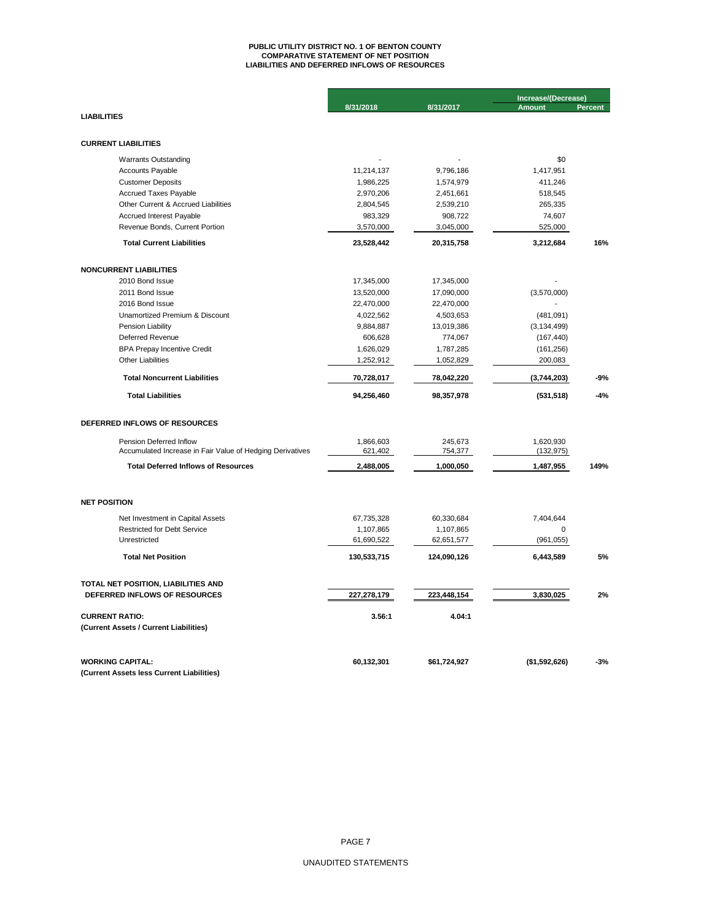# **PUBLIC UTILITY DISTRICT NO. 1 OF BENTON COUNTY COMPARATIVE STATEMENT OF NET POSITION LIABILITIES AND DEFERRED INFLOWS OF RESOURCES**

|                                                                                      |                      |                    | Increase/(Decrease)     |                |  |
|--------------------------------------------------------------------------------------|----------------------|--------------------|-------------------------|----------------|--|
| <b>LIABILITIES</b>                                                                   | 8/31/2018            | 8/31/2017          | <b>Amount</b>           | <b>Percent</b> |  |
|                                                                                      |                      |                    |                         |                |  |
|                                                                                      |                      |                    |                         |                |  |
| <b>CURRENT LIABILITIES</b>                                                           |                      |                    |                         |                |  |
| <b>Warrants Outstanding</b>                                                          |                      |                    | \$0                     |                |  |
| <b>Accounts Payable</b>                                                              | 11,214,137           | 9,796,186          | 1,417,951               |                |  |
| <b>Customer Deposits</b>                                                             | 1,986,225            | 1,574,979          | 411,246                 |                |  |
| <b>Accrued Taxes Payable</b>                                                         | 2,970,206            | 2,451,661          | 518,545                 |                |  |
| Other Current & Accrued Liabilities                                                  | 2,804,545            | 2,539,210          | 265,335                 |                |  |
| Accrued Interest Payable                                                             | 983,329              | 908,722            | 74,607                  |                |  |
| Revenue Bonds, Current Portion                                                       | 3,570,000            | 3,045,000          | 525,000                 |                |  |
| <b>Total Current Liabilities</b>                                                     | 23,528,442           | 20,315,758         | 3,212,684               | 16%            |  |
| <b>NONCURRENT LIABILITIES</b>                                                        |                      |                    |                         |                |  |
| 2010 Bond Issue                                                                      | 17,345,000           | 17,345,000         |                         |                |  |
| 2011 Bond Issue                                                                      | 13,520,000           | 17,090,000         | (3,570,000)             |                |  |
| 2016 Bond Issue                                                                      | 22,470,000           | 22,470,000         |                         |                |  |
| Unamortized Premium & Discount                                                       | 4,022,562            | 4,503,653          | (481,091)               |                |  |
| Pension Liability                                                                    | 9,884,887            | 13,019,386         | (3, 134, 499)           |                |  |
| Deferred Revenue                                                                     | 606,628              | 774,067            | (167, 440)              |                |  |
| <b>BPA Prepay Incentive Credit</b>                                                   | 1,626,029            | 1,787,285          | (161, 256)              |                |  |
| <b>Other Liabilities</b>                                                             | 1,252,912            | 1,052,829          | 200,083                 |                |  |
| <b>Total Noncurrent Liabilities</b>                                                  | 70,728,017           | 78,042,220         | (3,744,203)             | -9%            |  |
| <b>Total Liabilities</b>                                                             | 94,256,460           | 98,357,978         | (531, 518)              | $-4%$          |  |
| DEFERRED INFLOWS OF RESOURCES                                                        |                      |                    |                         |                |  |
|                                                                                      |                      |                    |                         |                |  |
| Pension Deferred Inflow<br>Accumulated Increase in Fair Value of Hedging Derivatives | 1,866,603<br>621,402 | 245,673<br>754,377 | 1,620,930<br>(132, 975) |                |  |
| <b>Total Deferred Inflows of Resources</b>                                           | 2,488,005            | 1,000,050          | 1,487,955               | 149%           |  |
|                                                                                      |                      |                    |                         |                |  |
| <b>NET POSITION</b>                                                                  |                      |                    |                         |                |  |
| Net Investment in Capital Assets                                                     | 67,735,328           | 60,330,684         | 7,404,644               |                |  |
| <b>Restricted for Debt Service</b>                                                   | 1,107,865            | 1,107,865          | 0                       |                |  |
| Unrestricted                                                                         | 61,690,522           | 62,651,577         | (961, 055)              |                |  |
| <b>Total Net Position</b>                                                            | 130,533,715          | 124,090,126        | 6,443,589               | 5%             |  |
| TOTAL NET POSITION, LIABILITIES AND                                                  |                      |                    |                         |                |  |
| DEFERRED INFLOWS OF RESOURCES                                                        | 227,278,179          | 223,448,154        | 3,830,025               | 2%             |  |
| <b>CURRENT RATIO:</b>                                                                | 3.56:1               | 4.04:1             |                         |                |  |
| (Current Assets / Current Liabilities)                                               |                      |                    |                         |                |  |
| <b>WORKING CAPITAL:</b>                                                              | 60,132,301           | \$61,724,927       | (\$1,592,626)           | $-3%$          |  |
| (Current Assets less Current Liabilities)                                            |                      |                    |                         |                |  |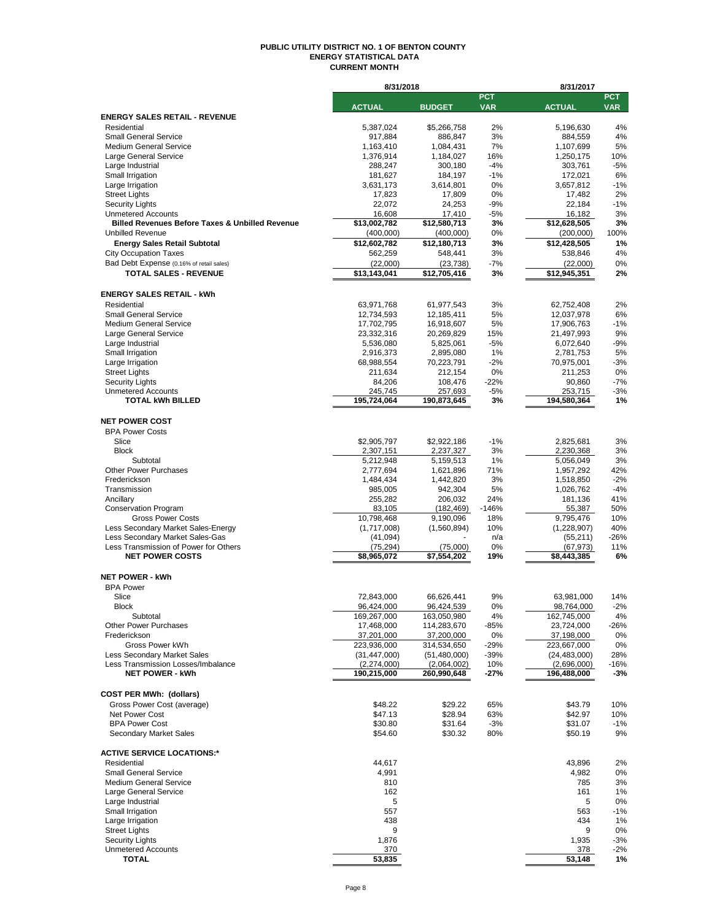#### **PUBLIC UTILITY DISTRICT NO. 1 OF BENTON COUNTY ENERGY STATISTICAL DATA CURRENT MONTH**

|                                                                          | 8/31/2018                |                         |            | 8/31/2017                |             |
|--------------------------------------------------------------------------|--------------------------|-------------------------|------------|--------------------------|-------------|
|                                                                          |                          |                         | <b>PCT</b> |                          | <b>PCT</b>  |
|                                                                          | <b>ACTUAL</b>            | <b>BUDGET</b>           | <b>VAR</b> | <b>ACTUAL</b>            | <b>VAR</b>  |
| <b>ENERGY SALES RETAIL - REVENUE</b>                                     |                          |                         |            |                          |             |
| Residential                                                              | 5,387,024                | \$5,266,758             | 2%<br>3%   | 5,196,630                | 4%<br>4%    |
| <b>Small General Service</b><br><b>Medium General Service</b>            | 917,884<br>1,163,410     | 886,847<br>1,084,431    | 7%         | 884,559<br>1,107,699     | 5%          |
| Large General Service                                                    | 1,376,914                | 1,184,027               | 16%        | 1,250,175                | 10%         |
| Large Industrial                                                         | 288,247                  | 300,180                 | $-4%$      | 303,761                  | $-5%$       |
| Small Irrigation                                                         | 181,627                  | 184,197                 | $-1%$      | 172,021                  | 6%          |
| Large Irrigation                                                         | 3,631,173                | 3,614,801               | 0%         | 3,657,812                | $-1%$       |
| <b>Street Lights</b>                                                     | 17,823                   | 17,809                  | 0%         | 17,482                   | 2%          |
| <b>Security Lights</b>                                                   | 22,072                   | 24,253                  | $-9%$      | 22,184                   | $-1%$       |
| <b>Unmetered Accounts</b>                                                | 16,608                   | 17,410                  | -5%        | 16,182                   | 3%          |
| <b>Billed Revenues Before Taxes &amp; Unbilled Revenue</b>               | \$13,002,782             | \$12,580,713            | 3%         | \$12,628,505             | 3%          |
| <b>Unbilled Revenue</b>                                                  | (400,000)                | (400,000)               | 0%         | (200,000)                | 100%        |
| <b>Energy Sales Retail Subtotal</b>                                      | \$12,602,782             | \$12,180,713            | 3%         | \$12,428,505             | 1%          |
| <b>City Occupation Taxes</b>                                             | 562,259                  | 548,441                 | 3%         | 538,846                  | 4%          |
| Bad Debt Expense (0.16% of retail sales)                                 | (22,000)                 | (23, 738)               | $-7%$      | (22,000)                 | 0%          |
| <b>TOTAL SALES - REVENUE</b>                                             | \$13,143,041             | \$12,705,416            | 3%         | \$12,945,351             | 2%          |
|                                                                          |                          |                         |            |                          |             |
| <b>ENERGY SALES RETAIL - kWh</b>                                         |                          |                         |            |                          |             |
| Residential                                                              | 63,971,768               | 61,977,543              | 3%         | 62,752,408               | 2%          |
| <b>Small General Service</b>                                             | 12,734,593               | 12,185,411              | 5%         | 12,037,978               | 6%          |
| <b>Medium General Service</b>                                            | 17,702,795               | 16,918,607              | 5%         | 17,906,763               | $-1%$       |
| Large General Service                                                    | 23,332,316               | 20,269,829              | 15%        | 21,497,993               | 9%          |
| Large Industrial                                                         | 5,536,080                | 5,825,061               | $-5%$      | 6,072,640                | $-9%$       |
| Small Irrigation                                                         | 2,916,373                | 2,895,080               | 1%         | 2,781,753                | 5%          |
| Large Irrigation                                                         | 68,988,554               | 70,223,791              | $-2%$      | 70,975,001               | $-3%$       |
| <b>Street Lights</b>                                                     | 211,634                  | 212,154                 | 0%         | 211,253                  | 0%          |
| <b>Security Lights</b>                                                   | 84,206                   | 108,476                 | $-22%$     | 90,860                   | $-7%$       |
| <b>Unmetered Accounts</b>                                                | 245,745                  | 257,693                 | $-5%$      | 253,715                  | $-3%$       |
| <b>TOTAL kWh BILLED</b>                                                  | 195,724,064              | 190,873,645             | 3%         | 194,580,364              | 1%          |
|                                                                          |                          |                         |            |                          |             |
| <b>NET POWER COST</b>                                                    |                          |                         |            |                          |             |
| <b>BPA Power Costs</b>                                                   |                          |                         |            |                          |             |
| Slice                                                                    | \$2,905,797              | \$2,922,186             | $-1%$      | 2,825,681                | 3%          |
| <b>Block</b>                                                             | 2,307,151                | 2,237,327               | 3%         | 2,230,368                | 3%          |
| Subtotal                                                                 | 5,212,948                | 5,159,513               | 1%         | 5,056,049                | 3%          |
| <b>Other Power Purchases</b>                                             | 2,777,694                | 1,621,896               | 71%        | 1,957,292                | 42%         |
| Frederickson                                                             | 1,484,434                | 1,442,820               | 3%         | 1,518,850                | $-2%$       |
| Transmission                                                             | 985,005                  | 942,304                 | 5%         | 1,026,762                | $-4%$       |
| Ancillary                                                                | 255,282                  | 206,032                 | 24%        | 181,136                  | 41%         |
| <b>Conservation Program</b>                                              | 83,105                   | (182, 469)              | $-146%$    | 55,387                   | 50%         |
| <b>Gross Power Costs</b>                                                 | 10,798,468               | 9,190,096               | 18%        | 9,795,476                | 10%         |
| Less Secondary Market Sales-Energy                                       | (1,717,008)              | (1,560,894)             | 10%        | (1,228,907)              | 40%         |
| Less Secondary Market Sales-Gas<br>Less Transmission of Power for Others | (41, 094)                |                         | n/a<br>0%  | (55, 211)                | -26%<br>11% |
| <b>NET POWER COSTS</b>                                                   | (75, 294)<br>\$8,965,072 | (75,000)<br>\$7,554,202 | 19%        | (67,973)<br>\$8,443,385  | 6%          |
|                                                                          |                          |                         |            |                          |             |
| <b>NET POWER - kWh</b>                                                   |                          |                         |            |                          |             |
| <b>BPA Power</b>                                                         |                          |                         |            |                          |             |
| Slice                                                                    |                          | 66,626,441              | 9%         |                          | 14%         |
| <b>Block</b>                                                             | 72,843,000<br>96,424,000 | 96,424,539              | 0%         | 63,981,000<br>98,764,000 | $-2%$       |
| Subtotal                                                                 | 169,267,000              | 163,050,980             | 4%         | 162,745,000              | 4%          |
| <b>Other Power Purchases</b>                                             | 17,468,000               | 114,283,670             | -85%       | 23,724,000               | -26%        |
| Frederickson                                                             | 37,201,000               | 37,200,000              | 0%         | 37,198,000               | 0%          |
| Gross Power kWh                                                          | 223,936,000              | 314,534,650             | $-29%$     | 223,667,000              | 0%          |
| <b>Less Secondary Market Sales</b>                                       | (31, 447, 000)           | (51, 480, 000)          | -39%       | (24, 483, 000)           | 28%         |
| Less Transmission Losses/Imbalance                                       | (2,274,000)              | (2,064,002)             | 10%        | (2,696,000)              | -16%        |
| <b>NET POWER - kWh</b>                                                   | 190,215,000              | 260,990,648             | -27%       | 196,488,000              | $-3%$       |
|                                                                          |                          |                         |            |                          |             |
| <b>COST PER MWh: (dollars)</b>                                           |                          |                         |            |                          |             |
| Gross Power Cost (average)                                               | \$48.22                  | \$29.22                 | 65%        | \$43.79                  | 10%         |
| Net Power Cost                                                           | \$47.13                  | \$28.94                 | 63%        | \$42.97                  | 10%         |
| <b>BPA Power Cost</b>                                                    | \$30.80                  | \$31.64                 | $-3%$      | \$31.07                  | $-1%$       |
| <b>Secondary Market Sales</b>                                            | \$54.60                  | \$30.32                 | 80%        | \$50.19                  | 9%          |
|                                                                          |                          |                         |            |                          |             |
| <b>ACTIVE SERVICE LOCATIONS:*</b>                                        |                          |                         |            |                          |             |
| Residential                                                              | 44,617                   |                         |            | 43,896                   | 2%          |
| <b>Small General Service</b>                                             | 4,991                    |                         |            | 4,982                    | 0%          |
| <b>Medium General Service</b>                                            | 810                      |                         |            | 785                      | 3%          |
| Large General Service                                                    | 162                      |                         |            | 161                      | 1%          |
| Large Industrial                                                         | 5                        |                         |            | 5                        | 0%          |
| Small Irrigation                                                         | 557                      |                         |            | 563                      | -1%         |
| Large Irrigation                                                         | 438                      |                         |            | 434                      | 1%          |
| <b>Street Lights</b>                                                     | 9                        |                         |            | 9                        | 0%          |
| <b>Security Lights</b>                                                   | 1,876                    |                         |            | 1,935                    | $-3%$       |
| <b>Unmetered Accounts</b>                                                | 370                      |                         |            | 378                      | $-2%$       |
| TOTAL                                                                    | 53,835                   |                         |            | 53,148                   | 1%          |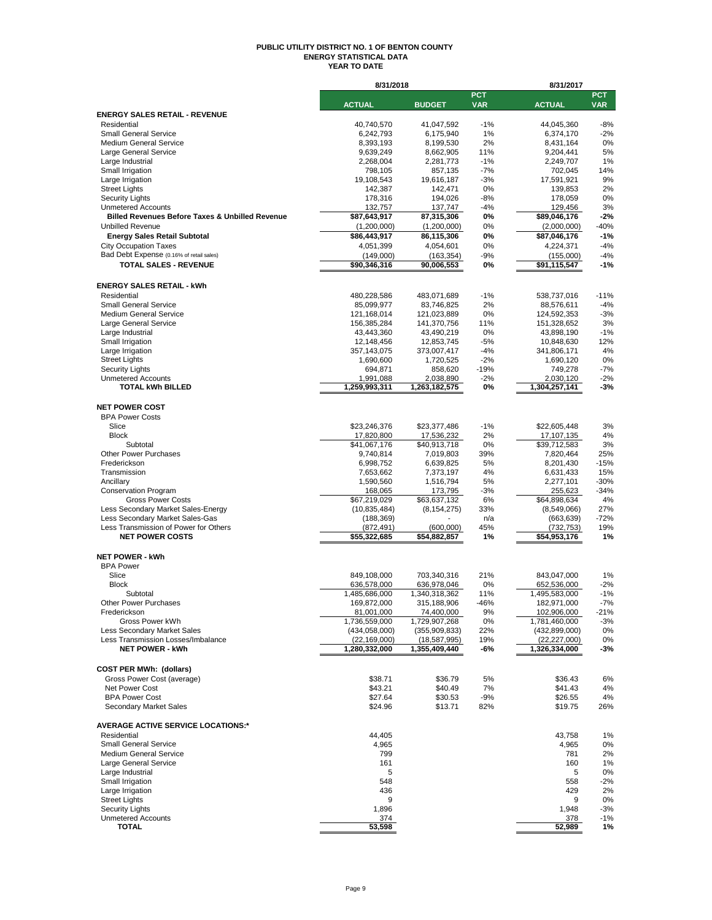#### **PUBLIC UTILITY DISTRICT NO. 1 OF BENTON COUNTY ENERGY STATISTICAL DATA YEAR TO DATE**

|                                                                       | 8/31/2018                       |                                   |                          | 8/31/2017                         |                          |
|-----------------------------------------------------------------------|---------------------------------|-----------------------------------|--------------------------|-----------------------------------|--------------------------|
|                                                                       | <b>ACTUAL</b>                   | <b>BUDGET</b>                     | <b>PCT</b><br><b>VAR</b> | <b>ACTUAL</b>                     | <b>PCT</b><br><b>VAR</b> |
| <b>ENERGY SALES RETAIL - REVENUE</b>                                  |                                 |                                   |                          |                                   |                          |
| Residential                                                           | 40,740,570                      | 41,047,592                        | $-1%$                    | 44,045,360                        | $-8%$                    |
| <b>Small General Service</b>                                          | 6,242,793                       | 6,175,940                         | 1%                       | 6,374,170                         | $-2%$                    |
| <b>Medium General Service</b>                                         | 8,393,193<br>9,639,249          | 8,199,530                         | 2%                       | 8,431,164                         | 0%<br>5%                 |
| Large General Service<br>Large Industrial                             | 2,268,004                       | 8,662,905<br>2,281,773            | 11%<br>$-1%$             | 9,204,441<br>2,249,707            | 1%                       |
| Small Irrigation                                                      | 798,105                         | 857,135                           | $-7%$                    | 702,045                           | 14%                      |
| Large Irrigation                                                      | 19,108,543                      | 19,616,187                        | $-3%$                    | 17,591,921                        | 9%                       |
| <b>Street Lights</b>                                                  | 142,387                         | 142,471                           | 0%                       | 139,853                           | 2%                       |
| <b>Security Lights</b><br><b>Unmetered Accounts</b>                   | 178,316<br>132,757              | 194,026<br>137,747                | -8%<br>-4%               | 178,059<br>129,456                | 0%<br>3%                 |
| <b>Billed Revenues Before Taxes &amp; Unbilled Revenue</b>            | \$87,643,917                    | 87,315,306                        | 0%                       | \$89,046,176                      | $-2%$                    |
| <b>Unbilled Revenue</b>                                               | (1,200,000)                     | (1,200,000)                       | 0%                       | (2,000,000)                       | $-40%$                   |
| <b>Energy Sales Retail Subtotal</b>                                   | \$86,443,917                    | 86,115,306                        | 0%                       | \$87,046,176                      | $-1%$                    |
| <b>City Occupation Taxes</b>                                          | 4,051,399                       | 4,054,601                         | 0%                       | 4,224,371                         | $-4%$                    |
| Bad Debt Expense (0.16% of retail sales)                              | (149,000)                       | (163, 354)                        | -9%                      | (155,000)                         | $-4%$                    |
| <b>TOTAL SALES - REVENUE</b>                                          | \$90,346,316                    | 90,006,553                        | 0%                       | \$91,115,547                      | $-1%$                    |
| <b>ENERGY SALES RETAIL - kWh</b>                                      |                                 |                                   |                          |                                   |                          |
| Residential                                                           | 480,228,586                     | 483,071,689                       | $-1%$                    | 538,737,016                       | $-11%$                   |
| <b>Small General Service</b>                                          | 85,099,977                      | 83,746,825                        | 2%                       | 88,576,611                        | $-4%$                    |
| <b>Medium General Service</b>                                         | 121,168,014                     | 121,023,889                       | 0%                       | 124,592,353                       | $-3%$                    |
| Large General Service                                                 | 156,385,284                     | 141,370,756                       | 11%                      | 151,328,652                       | 3%                       |
| Large Industrial                                                      | 43,443,360                      | 43,490,219                        | 0%                       | 43,898,190                        | $-1%$                    |
| Small Irrigation<br>Large Irrigation                                  | 12,148,456<br>357, 143, 075     | 12,853,745<br>373,007,417         | $-5%$<br>$-4%$           | 10,848,630<br>341,806,171         | 12%<br>4%                |
| <b>Street Lights</b>                                                  | 1,690,600                       | 1,720,525                         | $-2%$                    | 1,690,120                         | 0%                       |
| <b>Security Lights</b>                                                | 694,871                         | 858,620                           | -19%                     | 749,278                           | $-7%$                    |
| <b>Unmetered Accounts</b>                                             | 1,991,088                       | 2,038,890                         | -2%                      | 2,030,120                         | $-2%$                    |
| <b>TOTAL kWh BILLED</b>                                               | 1,259,993,311                   | 1,263,182,575                     | 0%                       | 1,304,257,141                     | -3%                      |
| <b>NET POWER COST</b>                                                 |                                 |                                   |                          |                                   |                          |
| <b>BPA Power Costs</b>                                                |                                 |                                   |                          |                                   |                          |
| Slice                                                                 | \$23,246,376                    | \$23,377,486                      | $-1%$                    | \$22,605,448                      | 3%                       |
| <b>Block</b>                                                          | 17,820,800                      | 17,536,232                        | 2%                       | 17,107,135                        | 4%                       |
| Subtotal                                                              | \$41,067,176                    | \$40,913,718                      | 0%                       | \$39,712,583                      | 3%                       |
| <b>Other Power Purchases</b><br>Frederickson                          | 9,740,814<br>6,998,752          | 7,019,803<br>6,639,825            | 39%<br>5%                | 7,820,464<br>8,201,430            | 25%<br>$-15%$            |
| Transmission                                                          | 7,653,662                       | 7,373,197                         | 4%                       | 6,631,433                         | 15%                      |
| Ancillary                                                             | 1,590,560                       | 1,516,794                         | 5%                       | 2,277,101                         | -30%                     |
| <b>Conservation Program</b>                                           | 168,065                         | 173,795                           | $-3%$                    | 255,623                           | -34%                     |
| <b>Gross Power Costs</b>                                              | \$67,219,029                    | \$63,637,132                      | 6%                       | \$64,898,634                      | 4%                       |
| Less Secondary Market Sales-Energy<br>Less Secondary Market Sales-Gas | (10, 835, 484)<br>(188, 369)    | (8, 154, 275)                     | 33%<br>n/a               | (8,549,066)                       | 27%<br>-72%              |
| Less Transmission of Power for Others                                 | (872, 491)                      | (600,000)                         | 45%                      | (663, 639)<br>(732, 753)          | 19%                      |
| <b>NET POWER COSTS</b>                                                | \$55,322,685                    | \$54,882,857                      | 1%                       | \$54,953,176                      | 1%                       |
|                                                                       |                                 |                                   |                          |                                   |                          |
| <b>NET POWER - kWh</b>                                                |                                 |                                   |                          |                                   |                          |
| <b>BPA Power</b>                                                      |                                 |                                   |                          |                                   |                          |
| Slice<br><b>Block</b>                                                 | 849,108,000<br>636,578,000      | 703,340,316<br>636,978,046        | 21%<br>0%                | 843,047,000<br>652,536,000        | 1%<br>$-2%$              |
| Subtotal                                                              | 1,485,686,000                   | 1,340,318,362                     | 11%                      | 1,495,583,000                     | $-1%$                    |
| <b>Other Power Purchases</b>                                          | 169,872,000                     | 315,188,906                       | -46%                     | 182,971,000                       | -7%                      |
| Frederickson                                                          | 81,001,000                      | 74,400,000                        | 9%                       | 102,906,000                       | -21%                     |
| Gross Power kWh                                                       | 1,736,559,000                   | 1,729,907,268                     | 0%                       | 1,781,460,000                     | -3%                      |
| Less Secondary Market Sales<br>Less Transmission Losses/Imbalance     | (434,058,000)<br>(22, 169, 000) | (355, 909, 833)<br>(18, 587, 995) | 22%<br>19%               | (432, 899, 000)<br>(22, 227, 000) | 0%<br>0%                 |
| <b>NET POWER - kWh</b>                                                | 1,280,332,000                   | 1,355,409,440                     | -6%                      | 1,326,334,000                     | -3%                      |
|                                                                       |                                 |                                   |                          |                                   |                          |
| <b>COST PER MWh: (dollars)</b>                                        |                                 |                                   |                          |                                   |                          |
| Gross Power Cost (average)                                            | \$38.71                         | \$36.79                           | 5%                       | \$36.43                           | 6%                       |
| Net Power Cost<br><b>BPA Power Cost</b>                               | \$43.21                         | \$40.49                           | 7%                       | \$41.43                           | 4%                       |
| Secondary Market Sales                                                | \$27.64<br>\$24.96              | \$30.53<br>\$13.71                | $-9%$<br>82%             | \$26.55<br>\$19.75                | 4%<br>26%                |
|                                                                       |                                 |                                   |                          |                                   |                          |
| <b>AVERAGE ACTIVE SERVICE LOCATIONS:*</b>                             |                                 |                                   |                          |                                   |                          |
| Residential                                                           | 44,405                          |                                   |                          | 43,758                            | 1%                       |
| <b>Small General Service</b>                                          | 4,965                           |                                   |                          | 4,965                             | 0%                       |
| Medium General Service                                                | 799<br>161                      |                                   |                          | 781                               | 2%                       |
| Large General Service<br>Large Industrial                             | 5                               |                                   |                          | 160<br>5                          | 1%<br>0%                 |
| Small Irrigation                                                      | 548                             |                                   |                          | 558                               | -2%                      |
| Large Irrigation                                                      | 436                             |                                   |                          | 429                               | 2%                       |
| <b>Street Lights</b>                                                  | 9                               |                                   |                          | 9                                 | 0%                       |
| <b>Security Lights</b>                                                | 1,896                           |                                   |                          | 1,948                             | -3%                      |
| <b>Unmetered Accounts</b><br>TOTAL                                    | 374<br>53,598                   |                                   |                          | 378<br>52,989                     | -1%<br>1%                |
|                                                                       |                                 |                                   |                          |                                   |                          |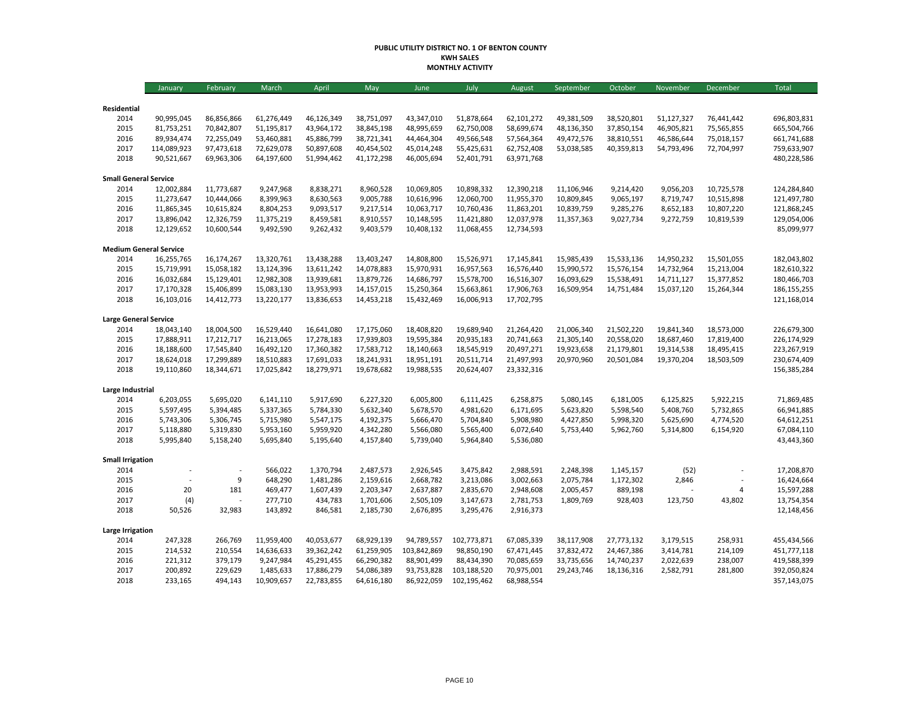#### **PUBLIC UTILITY DISTRICT NO. 1 OF BENTON COUNTY KWH SALES MONTHLY ACTIVITY**

|                               | January     | February   | March      | April      | May        | June        | July        | August     | September  | October    | November   | December   | Total                      |
|-------------------------------|-------------|------------|------------|------------|------------|-------------|-------------|------------|------------|------------|------------|------------|----------------------------|
|                               |             |            |            |            |            |             |             |            |            |            |            |            |                            |
| Residential                   |             |            |            |            |            |             |             |            |            |            |            |            |                            |
| 2014                          | 90,995,045  | 86,856,866 | 61,276,449 | 46,126,349 | 38,751,097 | 43,347,010  | 51,878,664  | 62,101,272 | 49,381,509 | 38,520,801 | 51,127,327 | 76,441,442 | 696,803,831<br>665,504,766 |
| 2015                          | 81,753,251  | 70,842,807 | 51,195,817 | 43,964,172 | 38,845,198 | 48,995,659  | 62,750,008  | 58,699,674 | 48,136,350 | 37,850,154 | 46,905,821 | 75,565,855 |                            |
| 2016                          | 89,934,474  | 72,255,049 | 53,460,881 | 45,886,799 | 38,721,341 | 44,464,304  | 49,566,548  | 57,564,364 | 49,472,576 | 38,810,551 | 46,586,644 | 75,018,157 | 661,741,688                |
| 2017                          | 114,089,923 | 97,473,618 | 72,629,078 | 50,897,608 | 40,454,502 | 45,014,248  | 55,425,631  | 62,752,408 | 53,038,585 | 40,359,813 | 54,793,496 | 72,704,997 | 759,633,907                |
| 2018                          | 90,521,667  | 69,963,306 | 64,197,600 | 51,994,462 | 41,172,298 | 46,005,694  | 52,401,791  | 63,971,768 |            |            |            |            | 480,228,586                |
| <b>Small General Service</b>  |             |            |            |            |            |             |             |            |            |            |            |            |                            |
| 2014                          | 12,002,884  | 11,773,687 | 9,247,968  | 8,838,271  | 8,960,528  | 10,069,805  | 10,898,332  | 12,390,218 | 11,106,946 | 9,214,420  | 9,056,203  | 10,725,578 | 124,284,840                |
| 2015                          | 11,273,647  | 10,444,066 | 8,399,963  | 8,630,563  | 9,005,788  | 10,616,996  | 12,060,700  | 11,955,370 | 10,809,845 | 9,065,197  | 8,719,747  | 10,515,898 | 121,497,780                |
| 2016                          | 11,865,345  | 10,615,824 | 8,804,253  | 9,093,517  | 9,217,514  | 10,063,717  | 10,760,436  | 11,863,201 | 10,839,759 | 9,285,276  | 8,652,183  | 10,807,220 | 121,868,245                |
| 2017                          | 13,896,042  | 12,326,759 | 11,375,219 | 8,459,581  | 8,910,557  | 10,148,595  | 11,421,880  | 12,037,978 | 11,357,363 | 9,027,734  | 9,272,759  | 10,819,539 | 129,054,006                |
| 2018                          | 12,129,652  | 10,600,544 | 9,492,590  | 9,262,432  | 9,403,579  | 10,408,132  | 11,068,455  | 12,734,593 |            |            |            |            | 85,099,977                 |
| <b>Medium General Service</b> |             |            |            |            |            |             |             |            |            |            |            |            |                            |
| 2014                          | 16,255,765  | 16,174,267 | 13,320,761 | 13,438,288 | 13,403,247 | 14,808,800  | 15,526,971  | 17,145,841 | 15,985,439 | 15,533,136 | 14,950,232 | 15,501,055 | 182,043,802                |
| 2015                          | 15,719,991  | 15,058,182 | 13,124,396 | 13,611,242 | 14,078,883 | 15,970,931  | 16,957,563  | 16,576,440 | 15,990,572 | 15,576,154 | 14,732,964 | 15,213,004 | 182,610,322                |
| 2016                          | 16,032,684  | 15,129,401 | 12,982,308 | 13,939,681 | 13,879,726 | 14,686,797  | 15,578,700  | 16,516,307 | 16,093,629 | 15,538,491 | 14,711,127 | 15,377,852 | 180,466,703                |
| 2017                          | 17,170,328  | 15,406,899 | 15,083,130 | 13,953,993 | 14,157,015 | 15,250,364  | 15,663,861  | 17,906,763 | 16,509,954 | 14,751,484 | 15,037,120 | 15,264,344 | 186, 155, 255              |
| 2018                          | 16,103,016  | 14,412,773 | 13,220,177 | 13,836,653 | 14,453,218 | 15,432,469  | 16,006,913  | 17,702,795 |            |            |            |            | 121,168,014                |
|                               |             |            |            |            |            |             |             |            |            |            |            |            |                            |
| <b>Large General Service</b>  |             |            |            |            |            |             |             |            |            |            |            |            |                            |
| 2014                          | 18,043,140  | 18,004,500 | 16,529,440 | 16,641,080 | 17,175,060 | 18,408,820  | 19,689,940  | 21,264,420 | 21,006,340 | 21,502,220 | 19,841,340 | 18,573,000 | 226,679,300                |
| 2015                          | 17,888,911  | 17,212,717 | 16,213,065 | 17,278,183 | 17,939,803 | 19,595,384  | 20,935,183  | 20,741,663 | 21,305,140 | 20,558,020 | 18,687,460 | 17,819,400 | 226,174,929                |
| 2016                          | 18,188,600  | 17,545,840 | 16,492,120 | 17,360,382 | 17,583,712 | 18,140,663  | 18,545,919  | 20,497,271 | 19,923,658 | 21,179,801 | 19,314,538 | 18,495,415 | 223,267,919                |
| 2017                          | 18,624,018  | 17,299,889 | 18,510,883 | 17,691,033 | 18,241,931 | 18,951,191  | 20,511,714  | 21,497,993 | 20,970,960 | 20,501,084 | 19,370,204 | 18,503,509 | 230,674,409                |
| 2018                          | 19,110,860  | 18,344,671 | 17,025,842 | 18,279,971 | 19,678,682 | 19,988,535  | 20,624,407  | 23,332,316 |            |            |            |            | 156,385,284                |
| Large Industrial              |             |            |            |            |            |             |             |            |            |            |            |            |                            |
| 2014                          | 6,203,055   | 5,695,020  | 6,141,110  | 5,917,690  | 6,227,320  | 6,005,800   | 6,111,425   | 6,258,875  | 5,080,145  | 6,181,005  | 6,125,825  | 5,922,215  | 71,869,485                 |
| 2015                          | 5,597,495   | 5,394,485  | 5,337,365  | 5,784,330  | 5,632,340  | 5,678,570   | 4,981,620   | 6,171,695  | 5,623,820  | 5,598,540  | 5,408,760  | 5,732,865  | 66,941,885                 |
| 2016                          | 5,743,306   | 5,306,745  | 5,715,980  | 5,547,175  | 4,192,375  | 5,666,470   | 5,704,840   | 5,908,980  | 4,427,850  | 5,998,320  | 5,625,690  | 4,774,520  | 64,612,251                 |
| 2017                          | 5,118,880   | 5,319,830  | 5,953,160  | 5,959,920  | 4,342,280  | 5,566,080   | 5,565,400   | 6,072,640  | 5,753,440  | 5,962,760  | 5,314,800  | 6,154,920  | 67,084,110                 |
| 2018                          | 5,995,840   | 5,158,240  | 5,695,840  | 5,195,640  | 4,157,840  | 5,739,040   | 5,964,840   | 5,536,080  |            |            |            |            | 43,443,360                 |
|                               |             |            |            |            |            |             |             |            |            |            |            |            |                            |
| <b>Small Irrigation</b>       |             |            |            |            |            |             |             |            |            |            |            |            |                            |
| 2014                          |             |            | 566,022    | 1,370,794  | 2,487,573  | 2,926,545   | 3,475,842   | 2,988,591  | 2,248,398  | 1,145,157  | (52)       |            | 17,208,870                 |
| 2015                          |             | 9          | 648,290    | 1,481,286  | 2,159,616  | 2,668,782   | 3,213,086   | 3,002,663  | 2,075,784  | 1,172,302  | 2,846      |            | 16,424,664                 |
| 2016                          | 20          | 181        | 469,477    | 1,607,439  | 2,203,347  | 2,637,887   | 2,835,670   | 2,948,608  | 2,005,457  | 889,198    |            | 4          | 15,597,288                 |
| 2017                          | (4)         |            | 277,710    | 434,783    | 1,701,606  | 2,505,109   | 3,147,673   | 2,781,753  | 1,809,769  | 928,403    | 123,750    | 43,802     | 13,754,354                 |
| 2018                          | 50,526      | 32,983     | 143,892    | 846,581    | 2,185,730  | 2,676,895   | 3,295,476   | 2,916,373  |            |            |            |            | 12,148,456                 |
| Large Irrigation              |             |            |            |            |            |             |             |            |            |            |            |            |                            |
| 2014                          | 247,328     | 266,769    | 11,959,400 | 40,053,677 | 68,929,139 | 94,789,557  | 102,773,871 | 67,085,339 | 38,117,908 | 27,773,132 | 3,179,515  | 258,931    | 455,434,566                |
| 2015                          | 214,532     | 210,554    | 14,636,633 | 39,362,242 | 61,259,905 | 103,842,869 | 98,850,190  | 67,471,445 | 37,832,472 | 24,467,386 | 3,414,781  | 214,109    | 451,777,118                |
| 2016                          | 221,312     | 379,179    | 9,247,984  | 45,291,455 | 66,290,382 | 88,901,499  | 88,434,390  | 70,085,659 | 33,735,656 | 14,740,237 | 2,022,639  | 238,007    | 419,588,399                |
| 2017                          | 200,892     | 229,629    | 1,485,633  | 17,886,279 | 54,086,389 | 93,753,828  | 103,188,520 | 70,975,001 | 29,243,746 | 18,136,316 | 2,582,791  | 281,800    | 392,050,824                |
| 2018                          | 233,165     | 494,143    | 10,909,657 | 22,783,855 | 64,616,180 | 86,922,059  | 102,195,462 | 68,988,554 |            |            |            |            | 357,143,075                |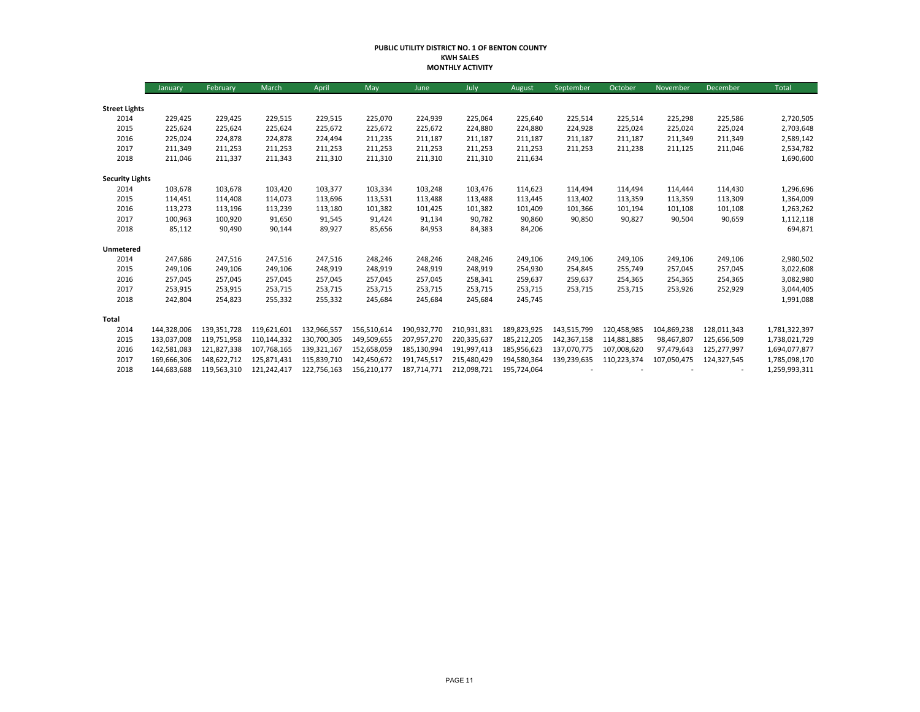#### **PUBLIC UTILITY DISTRICT NO. 1 OF BENTON COUNTY KWH SALES MONTHLY ACTIVITY**

|                        | January     | February    | March       | April       | May         | June        | July        | August      | September   | October     | November    | December    | Total         |
|------------------------|-------------|-------------|-------------|-------------|-------------|-------------|-------------|-------------|-------------|-------------|-------------|-------------|---------------|
|                        |             |             |             |             |             |             |             |             |             |             |             |             |               |
| <b>Street Lights</b>   |             |             |             |             |             |             |             |             |             |             |             |             |               |
| 2014                   | 229,425     | 229,425     | 229,515     | 229,515     | 225,070     | 224,939     | 225,064     | 225,640     | 225,514     | 225,514     | 225,298     | 225,586     | 2,720,505     |
| 2015                   | 225,624     | 225,624     | 225,624     | 225,672     | 225,672     | 225,672     | 224,880     | 224,880     | 224,928     | 225,024     | 225,024     | 225,024     | 2,703,648     |
| 2016                   | 225,024     | 224,878     | 224,878     | 224,494     | 211,235     | 211,187     | 211,187     | 211,187     | 211,187     | 211,187     | 211,349     | 211,349     | 2,589,142     |
| 2017                   | 211,349     | 211,253     | 211,253     | 211,253     | 211,253     | 211,253     | 211,253     | 211,253     | 211,253     | 211,238     | 211,125     | 211,046     | 2,534,782     |
| 2018                   | 211,046     | 211,337     | 211,343     | 211,310     | 211,310     | 211,310     | 211,310     | 211,634     |             |             |             |             | 1,690,600     |
| <b>Security Lights</b> |             |             |             |             |             |             |             |             |             |             |             |             |               |
| 2014                   | 103,678     | 103,678     | 103,420     | 103,377     | 103,334     | 103,248     | 103,476     | 114,623     | 114,494     | 114,494     | 114,444     | 114,430     | 1,296,696     |
| 2015                   | 114,451     | 114,408     | 114,073     | 113,696     | 113,531     | 113,488     | 113,488     | 113,445     | 113,402     | 113,359     | 113,359     | 113,309     | 1,364,009     |
| 2016                   | 113,273     | 113,196     | 113,239     | 113,180     | 101,382     | 101,425     | 101,382     | 101,409     | 101,366     | 101,194     | 101,108     | 101,108     | 1,263,262     |
| 2017                   | 100,963     | 100,920     | 91,650      | 91,545      | 91,424      | 91,134      | 90,782      | 90,860      | 90,850      | 90,827      | 90,504      | 90,659      | 1,112,118     |
| 2018                   | 85,112      | 90,490      | 90,144      | 89,927      | 85,656      | 84,953      | 84,383      | 84,206      |             |             |             |             | 694,871       |
| Unmetered              |             |             |             |             |             |             |             |             |             |             |             |             |               |
| 2014                   | 247,686     | 247,516     | 247,516     | 247,516     | 248,246     | 248,246     | 248,246     | 249,106     | 249,106     | 249,106     | 249,106     | 249,106     | 2,980,502     |
| 2015                   | 249,106     | 249,106     | 249,106     | 248,919     | 248,919     | 248,919     | 248,919     | 254,930     | 254,845     | 255,749     | 257,045     | 257,045     | 3,022,608     |
| 2016                   | 257,045     | 257,045     | 257,045     | 257,045     | 257,045     | 257,045     | 258,341     | 259,637     | 259,637     | 254,365     | 254,365     | 254,365     | 3,082,980     |
| 2017                   | 253,915     | 253,915     | 253,715     | 253,715     | 253,715     | 253,715     | 253,715     | 253,715     | 253,715     | 253,715     | 253,926     | 252,929     | 3,044,405     |
| 2018                   | 242,804     | 254,823     | 255,332     | 255,332     | 245,684     | 245,684     | 245,684     | 245,745     |             |             |             |             | 1,991,088     |
| Total                  |             |             |             |             |             |             |             |             |             |             |             |             |               |
| 2014                   | 144,328,006 | 139,351,728 | 119,621,601 | 132,966,557 | 156,510,614 | 190,932,770 | 210,931,831 | 189,823,925 | 143,515,799 | 120,458,985 | 104,869,238 | 128,011,343 | 1,781,322,397 |
| 2015                   | 133,037,008 | 119,751,958 | 110,144,332 | 130,700,305 | 149,509,655 | 207,957,270 | 220,335,637 | 185,212,205 | 142,367,158 | 114,881,885 | 98,467,807  | 125,656,509 | 1,738,021,729 |
| 2016                   | 142,581,083 | 121,827,338 | 107.768.165 | 139,321,167 | 152,658,059 | 185,130,994 | 191,997,413 | 185,956,623 | 137,070,775 | 107,008,620 | 97,479,643  | 125,277,997 | 1,694,077,877 |
| 2017                   | 169,666,306 | 148,622,712 | 125,871,431 | 115,839,710 | 142,450,672 | 191.745.517 | 215,480,429 | 194,580,364 | 139,239,635 | 110,223,374 | 107,050,475 | 124,327,545 | 1,785,098,170 |
| 2018                   | 144,683,688 | 119,563,310 | 121,242,417 | 122,756,163 | 156,210,177 | 187,714,771 | 212,098,721 | 195,724,064 |             |             |             |             | 1,259,993,311 |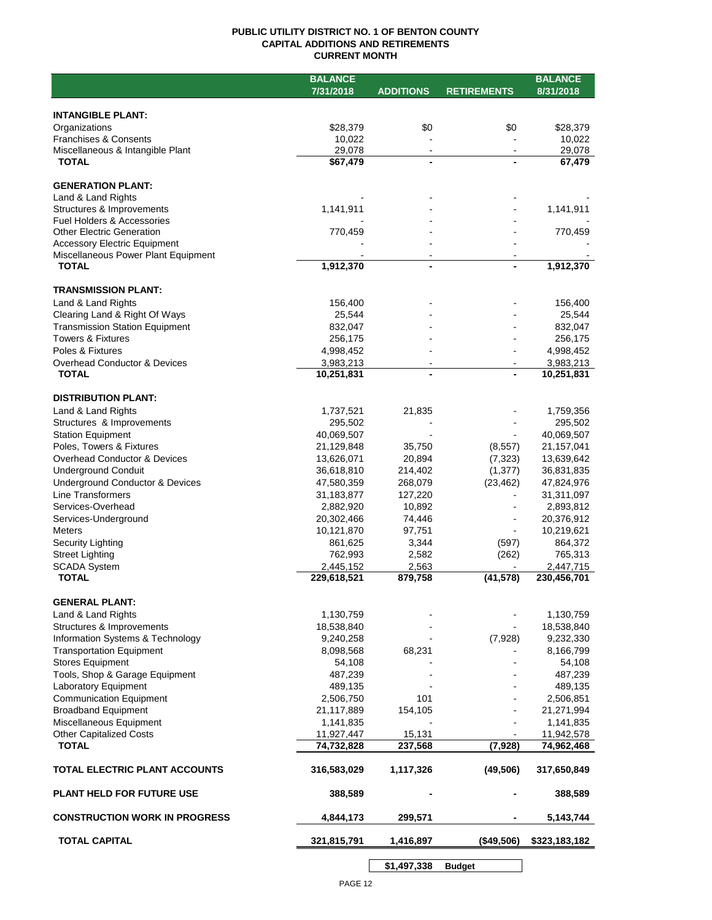## **PUBLIC UTILITY DISTRICT NO. 1 OF BENTON COUNTY CAPITAL ADDITIONS AND RETIREMENTS CURRENT MONTH**

|                                       | <b>BALANCE</b> |                  |                    | <b>BALANCE</b> |
|---------------------------------------|----------------|------------------|--------------------|----------------|
|                                       | 7/31/2018      | <b>ADDITIONS</b> | <b>RETIREMENTS</b> | 8/31/2018      |
|                                       |                |                  |                    |                |
| <b>INTANGIBLE PLANT:</b>              |                |                  |                    |                |
| Organizations                         | \$28,379       | \$0              | \$0                | \$28,379       |
| <b>Franchises &amp; Consents</b>      | 10,022         |                  |                    | 10,022         |
| Miscellaneous & Intangible Plant      | 29,078         | $\blacksquare$   |                    | 29,078         |
| <b>TOTAL</b>                          | \$67,479       | $\blacksquare$   |                    | 67,479         |
|                                       |                |                  |                    |                |
| <b>GENERATION PLANT:</b>              |                |                  |                    |                |
| Land & Land Rights                    |                |                  |                    |                |
| Structures & Improvements             | 1,141,911      |                  |                    | 1,141,911      |
| <b>Fuel Holders &amp; Accessories</b> |                |                  |                    |                |
| <b>Other Electric Generation</b>      | 770,459        |                  |                    | 770,459        |
| <b>Accessory Electric Equipment</b>   |                |                  |                    |                |
| Miscellaneous Power Plant Equipment   |                |                  |                    |                |
| <b>TOTAL</b>                          | 1,912,370      | $\blacksquare$   |                    | 1,912,370      |
|                                       |                |                  |                    |                |
| <b>TRANSMISSION PLANT:</b>            |                |                  |                    |                |
| Land & Land Rights                    | 156,400        |                  |                    | 156,400        |
| Clearing Land & Right Of Ways         | 25,544         |                  |                    | 25,544         |
| <b>Transmission Station Equipment</b> | 832,047        |                  |                    | 832,047        |
| <b>Towers &amp; Fixtures</b>          | 256,175        |                  |                    | 256,175        |
| Poles & Fixtures                      | 4,998,452      |                  |                    | 4,998,452      |
| Overhead Conductor & Devices          | 3,983,213      |                  |                    | 3,983,213      |
| <b>TOTAL</b>                          | 10,251,831     |                  |                    | 10,251,831     |
|                                       |                |                  |                    |                |
| <b>DISTRIBUTION PLANT:</b>            |                |                  |                    |                |
| Land & Land Rights                    | 1,737,521      | 21,835           |                    | 1,759,356      |
| Structures & Improvements             | 295,502        |                  |                    | 295,502        |
| <b>Station Equipment</b>              | 40,069,507     |                  |                    | 40,069,507     |
| Poles, Towers & Fixtures              | 21,129,848     | 35,750           | (8, 557)           | 21, 157, 041   |
| Overhead Conductor & Devices          | 13,626,071     | 20,894           | (7, 323)           | 13,639,642     |
| <b>Underground Conduit</b>            | 36,618,810     | 214,402          | (1, 377)           | 36,831,835     |
| Underground Conductor & Devices       | 47,580,359     | 268,079          | (23, 462)          | 47,824,976     |
| <b>Line Transformers</b>              | 31,183,877     | 127,220          |                    | 31,311,097     |
|                                       |                |                  |                    |                |
| Services-Overhead                     | 2,882,920      | 10,892           |                    | 2,893,812      |
| Services-Underground                  | 20,302,466     | 74,446           |                    | 20,376,912     |
| <b>Meters</b>                         | 10,121,870     | 97,751           |                    | 10,219,621     |
| Security Lighting                     | 861,625        | 3,344            | (597)              | 864,372        |
| <b>Street Lighting</b>                | 762,993        | 2,582            | (262)              | 765,313        |
| <b>SCADA System</b>                   | 2,445,152      | 2,563            |                    | 2,447,715      |
| <b>TOTAL</b>                          | 229,618,521    | 879,758          | (41, 578)          | 230,456,701    |
|                                       |                |                  |                    |                |
| <b>GENERAL PLANT:</b>                 |                |                  |                    |                |
| Land & Land Rights                    | 1,130,759      |                  |                    | 1,130,759      |
| Structures & Improvements             | 18,538,840     |                  |                    | 18,538,840     |
| Information Systems & Technology      | 9,240,258      |                  | (7,928)            | 9,232,330      |
| <b>Transportation Equipment</b>       | 8,098,568      | 68,231           |                    | 8,166,799      |
| <b>Stores Equipment</b>               | 54,108         |                  |                    | 54,108         |
| Tools, Shop & Garage Equipment        | 487,239        |                  |                    | 487,239        |
| Laboratory Equipment                  | 489,135        |                  |                    | 489,135        |
| <b>Communication Equipment</b>        | 2,506,750      | 101              |                    | 2,506,851      |
| <b>Broadband Equipment</b>            | 21,117,889     | 154,105          |                    | 21,271,994     |
| Miscellaneous Equipment               | 1,141,835      |                  |                    | 1,141,835      |
| <b>Other Capitalized Costs</b>        | 11,927,447     | 15,131           |                    | 11,942,578     |
| <b>TOTAL</b>                          | 74,732,828     | 237,568          | (7, 928)           | 74,962,468     |
|                                       |                |                  |                    |                |
| TOTAL ELECTRIC PLANT ACCOUNTS         | 316,583,029    | 1,117,326        | (49, 506)          | 317,650,849    |
| <b>PLANT HELD FOR FUTURE USE</b>      | 388,589        |                  |                    | 388,589        |
| <b>CONSTRUCTION WORK IN PROGRESS</b>  | 4,844,173      | 299,571          |                    | 5,143,744      |
|                                       |                |                  |                    |                |
| <b>TOTAL CAPITAL</b>                  | 321,815,791    | 1,416,897        | (\$49,506)         | \$323,183,182  |
|                                       |                | \$1,497,338      | <b>Budget</b>      |                |

PAGE 12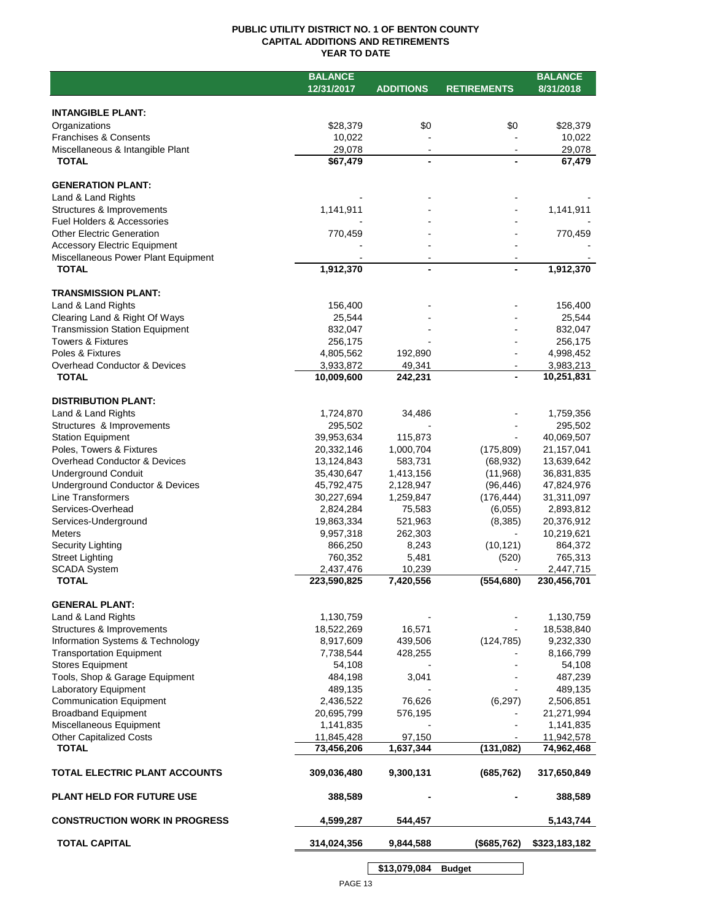## **PUBLIC UTILITY DISTRICT NO. 1 OF BENTON COUNTY CAPITAL ADDITIONS AND RETIREMENTS YEAR TO DATE**

|                                       | <b>BALANCE</b> |                  |                    | <b>BALANCE</b> |
|---------------------------------------|----------------|------------------|--------------------|----------------|
|                                       | 12/31/2017     | <b>ADDITIONS</b> | <b>RETIREMENTS</b> | 8/31/2018      |
|                                       |                |                  |                    |                |
| <b>INTANGIBLE PLANT:</b>              |                |                  |                    |                |
| Organizations                         | \$28,379       | \$0              | \$0                | \$28,379       |
| <b>Franchises &amp; Consents</b>      | 10,022         |                  |                    | 10,022         |
| Miscellaneous & Intangible Plant      | 29,078         | $\blacksquare$   |                    | 29,078         |
| <b>TOTAL</b>                          | \$67,479       | $\blacksquare$   |                    | 67,479         |
|                                       |                |                  |                    |                |
| <b>GENERATION PLANT:</b>              |                |                  |                    |                |
| Land & Land Rights                    |                |                  |                    |                |
| Structures & Improvements             | 1,141,911      |                  |                    | 1,141,911      |
| <b>Fuel Holders &amp; Accessories</b> |                |                  |                    |                |
| <b>Other Electric Generation</b>      | 770,459        |                  |                    | 770,459        |
| <b>Accessory Electric Equipment</b>   |                |                  |                    |                |
| Miscellaneous Power Plant Equipment   |                |                  |                    |                |
| <b>TOTAL</b>                          | 1,912,370      | $\blacksquare$   |                    | 1,912,370      |
|                                       |                |                  |                    |                |
| <b>TRANSMISSION PLANT:</b>            |                |                  |                    |                |
| Land & Land Rights                    | 156,400        |                  |                    | 156,400        |
| Clearing Land & Right Of Ways         | 25,544         |                  |                    | 25,544         |
| <b>Transmission Station Equipment</b> | 832,047        |                  |                    | 832,047        |
| <b>Towers &amp; Fixtures</b>          | 256,175        |                  |                    | 256,175        |
| Poles & Fixtures                      | 4,805,562      | 192,890          |                    | 4,998,452      |
| Overhead Conductor & Devices          | 3,933,872      | 49,341           |                    | 3,983,213      |
| <b>TOTAL</b>                          | 10,009,600     | 242,231          |                    | 10,251,831     |
|                                       |                |                  |                    |                |
| <b>DISTRIBUTION PLANT:</b>            |                |                  |                    |                |
| Land & Land Rights                    | 1,724,870      | 34,486           |                    | 1,759,356      |
| Structures & Improvements             | 295,502        |                  |                    | 295,502        |
| <b>Station Equipment</b>              | 39,953,634     | 115,873          |                    | 40,069,507     |
| Poles, Towers & Fixtures              | 20,332,146     | 1,000,704        | (175, 809)         | 21,157,041     |
| Overhead Conductor & Devices          | 13,124,843     | 583,731          | (68, 932)          | 13,639,642     |
| <b>Underground Conduit</b>            | 35,430,647     | 1,413,156        | (11,968)           | 36,831,835     |
| Underground Conductor & Devices       | 45,792,475     | 2,128,947        | (96, 446)          | 47,824,976     |
| Line Transformers                     |                |                  | (176, 444)         |                |
|                                       | 30,227,694     | 1,259,847        |                    | 31,311,097     |
| Services-Overhead                     | 2,824,284      | 75,583           | (6,055)            | 2,893,812      |
| Services-Underground                  | 19,863,334     | 521,963          | (8,385)            | 20,376,912     |
| <b>Meters</b>                         | 9,957,318      | 262,303          | $\mathbf{r}$       | 10,219,621     |
| Security Lighting                     | 866,250        | 8,243            | (10, 121)          | 864,372        |
| <b>Street Lighting</b>                | 760,352        | 5,481            | (520)              | 765,313        |
| <b>SCADA System</b>                   | 2,437,476      | 10,239           |                    | 2,447,715      |
| <b>TOTAL</b>                          | 223,590,825    | 7,420,556        | (554, 680)         | 230,456,701    |
|                                       |                |                  |                    |                |
| <b>GENERAL PLANT:</b>                 |                |                  |                    |                |
| Land & Land Rights                    | 1,130,759      |                  |                    | 1,130,759      |
| Structures & Improvements             | 18,522,269     | 16,571           |                    | 18,538,840     |
| Information Systems & Technology      | 8,917,609      | 439,506          | (124, 785)         | 9,232,330      |
| <b>Transportation Equipment</b>       | 7,738,544      | 428,255          |                    | 8,166,799      |
| <b>Stores Equipment</b>               | 54,108         |                  |                    | 54,108         |
| Tools, Shop & Garage Equipment        | 484,198        | 3,041            |                    | 487,239        |
| Laboratory Equipment                  | 489,135        |                  |                    | 489,135        |
| <b>Communication Equipment</b>        | 2,436,522      | 76,626           | (6, 297)           | 2,506,851      |
| <b>Broadband Equipment</b>            | 20,695,799     | 576,195          |                    | 21,271,994     |
| Miscellaneous Equipment               | 1,141,835      |                  |                    | 1,141,835      |
| <b>Other Capitalized Costs</b>        | 11,845,428     | 97,150           |                    | 11,942,578     |
| <b>TOTAL</b>                          | 73,456,206     | 1,637,344        | (131, 082)         | 74,962,468     |
|                                       |                |                  |                    |                |
| TOTAL ELECTRIC PLANT ACCOUNTS         | 309,036,480    | 9,300,131        | (685, 762)         | 317,650,849    |
|                                       |                |                  |                    |                |
| <b>PLANT HELD FOR FUTURE USE</b>      | 388,589        |                  |                    | 388,589        |
|                                       |                |                  |                    |                |
| <b>CONSTRUCTION WORK IN PROGRESS</b>  | 4,599,287      | 544,457          |                    | 5,143,744      |
|                                       |                |                  |                    |                |
| <b>TOTAL CAPITAL</b>                  | 314,024,356    | 9,844,588        | (\$685,762)        | \$323,183,182  |
|                                       |                |                  |                    |                |
|                                       |                | \$13,079,084     | <b>Budget</b>      |                |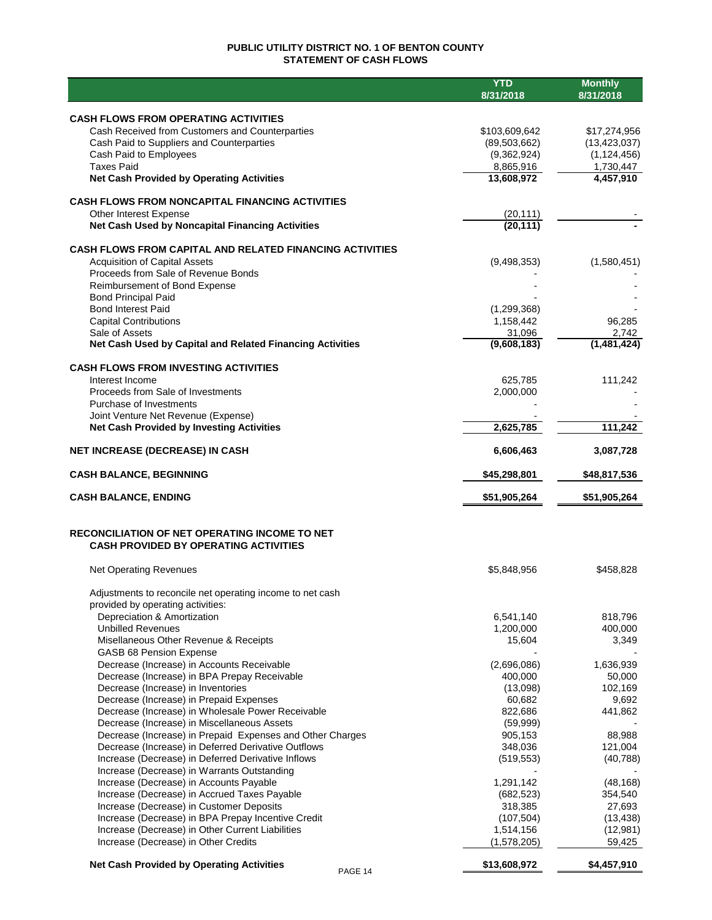## **PUBLIC UTILITY DISTRICT NO. 1 OF BENTON COUNTY STATEMENT OF CASH FLOWS**

|                                                                                                                  | <b>YTD</b><br>8/31/2018       | <b>Monthly</b><br>8/31/2018     |
|------------------------------------------------------------------------------------------------------------------|-------------------------------|---------------------------------|
|                                                                                                                  |                               |                                 |
| <b>CASH FLOWS FROM OPERATING ACTIVITIES</b>                                                                      |                               |                                 |
| Cash Received from Customers and Counterparties<br>Cash Paid to Suppliers and Counterparties                     | \$103,609,642                 | \$17,274,956                    |
| Cash Paid to Employees                                                                                           | (89, 503, 662)<br>(9,362,924) | (13, 423, 037)<br>(1, 124, 456) |
| <b>Taxes Paid</b>                                                                                                | 8,865,916                     | 1,730,447                       |
| <b>Net Cash Provided by Operating Activities</b>                                                                 | 13,608,972                    | 4,457,910                       |
| <b>CASH FLOWS FROM NONCAPITAL FINANCING ACTIVITIES</b>                                                           |                               |                                 |
| Other Interest Expense                                                                                           | (20, 111)                     |                                 |
| Net Cash Used by Noncapital Financing Activities                                                                 | (20, 111)                     |                                 |
| <b>CASH FLOWS FROM CAPITAL AND RELATED FINANCING ACTIVITIES</b>                                                  |                               |                                 |
| <b>Acquisition of Capital Assets</b>                                                                             | (9,498,353)                   | (1,580,451)                     |
| Proceeds from Sale of Revenue Bonds                                                                              |                               |                                 |
| Reimbursement of Bond Expense                                                                                    |                               |                                 |
| <b>Bond Principal Paid</b><br><b>Bond Interest Paid</b>                                                          | (1, 299, 368)                 |                                 |
| <b>Capital Contributions</b>                                                                                     | 1,158,442                     | 96,285                          |
| Sale of Assets                                                                                                   | 31,096                        | 2,742                           |
| Net Cash Used by Capital and Related Financing Activities                                                        | (9,608,183)                   | (1,481,424)                     |
| <b>CASH FLOWS FROM INVESTING ACTIVITIES</b>                                                                      |                               |                                 |
| Interest Income                                                                                                  | 625,785                       | 111,242                         |
| Proceeds from Sale of Investments                                                                                | 2,000,000                     |                                 |
| Purchase of Investments                                                                                          |                               |                                 |
| Joint Venture Net Revenue (Expense)<br><b>Net Cash Provided by Investing Activities</b>                          | 2,625,785                     | 111,242                         |
|                                                                                                                  |                               |                                 |
| <b>NET INCREASE (DECREASE) IN CASH</b>                                                                           | 6,606,463                     | 3,087,728                       |
| <b>CASH BALANCE, BEGINNING</b>                                                                                   | \$45,298,801                  | \$48,817,536                    |
| <b>CASH BALANCE, ENDING</b>                                                                                      | \$51,905,264                  | \$51,905,264                    |
| RECONCILIATION OF NET OPERATING INCOME TO NET                                                                    |                               |                                 |
| <b>CASH PROVIDED BY OPERATING ACTIVITIES</b>                                                                     |                               |                                 |
| <b>Net Operating Revenues</b>                                                                                    | \$5,848,956                   | \$458,828                       |
| Adjustments to reconcile net operating income to net cash                                                        |                               |                                 |
| provided by operating activities:                                                                                |                               |                                 |
| Depreciation & Amortization                                                                                      | 6,541,140                     | 818,796                         |
| <b>Unbilled Revenues</b>                                                                                         | 1,200,000                     | 400,000                         |
| Misellaneous Other Revenue & Receipts                                                                            | 15,604                        | 3,349                           |
| GASB 68 Pension Expense<br>Decrease (Increase) in Accounts Receivable                                            | (2,696,086)                   | 1,636,939                       |
| Decrease (Increase) in BPA Prepay Receivable                                                                     | 400,000                       | 50,000                          |
| Decrease (Increase) in Inventories                                                                               | (13,098)                      | 102,169                         |
| Decrease (Increase) in Prepaid Expenses                                                                          | 60,682                        | 9,692                           |
| Decrease (Increase) in Wholesale Power Receivable                                                                | 822,686                       | 441,862                         |
| Decrease (Increase) in Miscellaneous Assets                                                                      | (59,999)                      |                                 |
| Decrease (Increase) in Prepaid Expenses and Other Charges<br>Decrease (Increase) in Deferred Derivative Outflows | 905,153<br>348,036            | 88,988<br>121,004               |
| Increase (Decrease) in Deferred Derivative Inflows                                                               | (519, 553)                    | (40, 788)                       |
| Increase (Decrease) in Warrants Outstanding                                                                      |                               |                                 |
| Increase (Decrease) in Accounts Payable                                                                          | 1,291,142                     | (48, 168)                       |
| Increase (Decrease) in Accrued Taxes Payable                                                                     | (682, 523)                    | 354,540                         |
| Increase (Decrease) in Customer Deposits                                                                         | 318,385                       | 27,693                          |
| Increase (Decrease) in BPA Prepay Incentive Credit                                                               | (107, 504)                    | (13, 438)                       |
| Increase (Decrease) in Other Current Liabilities<br>Increase (Decrease) in Other Credits                         | 1,514,156<br>(1,578,205)      | (12,981)<br>59,425              |
|                                                                                                                  |                               |                                 |
| <b>Net Cash Provided by Operating Activities</b><br>PAGE 14                                                      | \$13,608,972                  | \$4,457,910                     |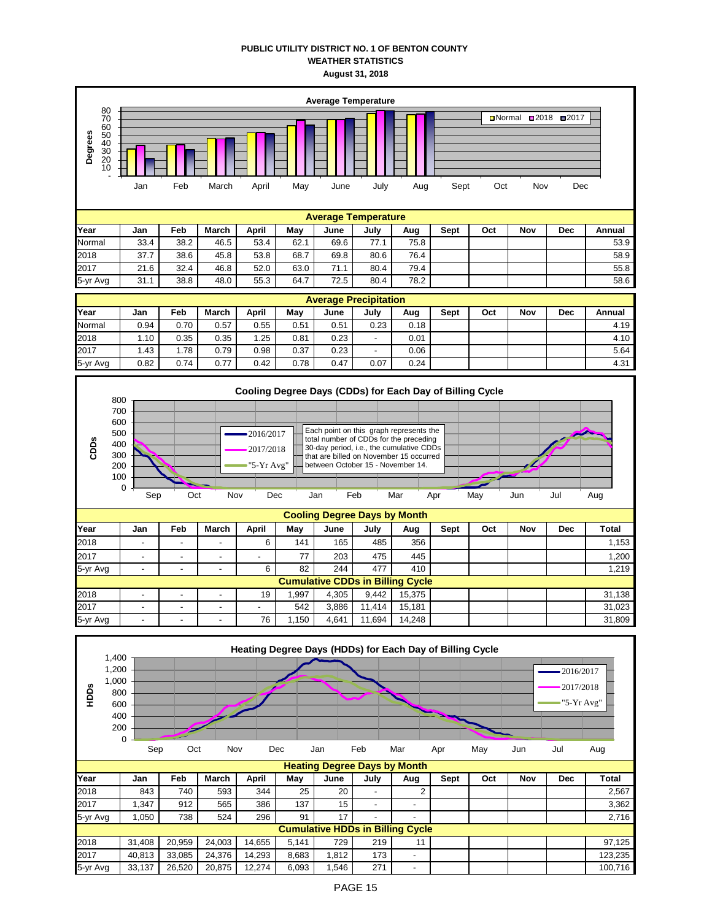## **PUBLIC UTILITY DISTRICT NO. 1 OF BENTON COUNTY WEATHER STATISTICS August 31, 2018**

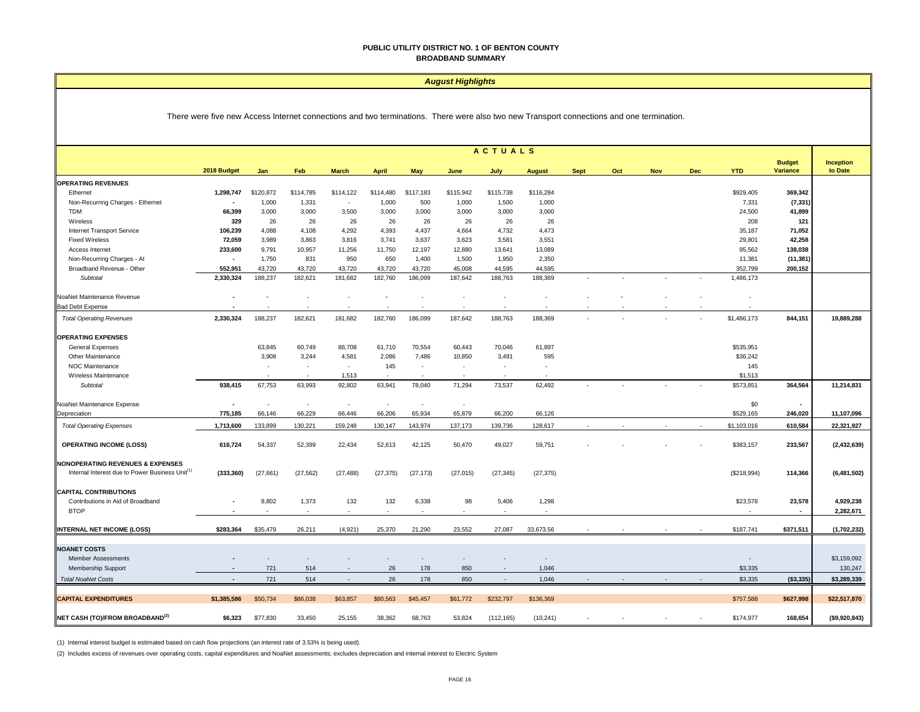#### **PUBLIC UTILITY DISTRICT NO. 1 OF BENTON COUNTY BROADBAND SUMMARY**

#### *August Highlights*

There were five new Access Internet connections and two terminations. There were also two new Transport connections and one termination.

|                                                                                                            | <b>ACTUALS</b> |           |                          |              |              |            |           |                          |                          |             |     |            |            |                          |                           |                             |
|------------------------------------------------------------------------------------------------------------|----------------|-----------|--------------------------|--------------|--------------|------------|-----------|--------------------------|--------------------------|-------------|-----|------------|------------|--------------------------|---------------------------|-----------------------------|
|                                                                                                            | 2018 Budget    | Jan       | Feb                      | <b>March</b> | <b>April</b> | <b>May</b> | June      | July                     | <b>August</b>            | <b>Sept</b> | Oct | <b>Nov</b> | <b>Dec</b> | <b>YTD</b>               | <b>Budget</b><br>Variance | <b>Inception</b><br>to Date |
| <b>OPERATING REVENUES</b>                                                                                  |                |           |                          |              |              |            |           |                          |                          |             |     |            |            |                          |                           |                             |
| Ethernet                                                                                                   | 1,298,747      | \$120,872 | \$114,785                | \$114,122    | \$114,480    | \$117,183  | \$115,942 | \$115,738                | \$116,284                |             |     |            |            | \$929,405                | 369,342                   |                             |
| Non-Recurring Charges - Ethernet                                                                           |                | 1,000     | 1,331                    | $\sim$       | 1,000        | 500        | 1,000     | 1,500                    | 1,000                    |             |     |            |            | 7,331                    | (7, 331)                  |                             |
| <b>TDM</b>                                                                                                 | 66,399         | 3,000     | 3,000                    | 3,500        | 3,000        | 3,000      | 3,000     | 3,000                    | 3,000                    |             |     |            |            | 24,500                   | 41,899                    |                             |
| Wireless                                                                                                   | 329            | 26        | 26                       | 26           | 26           | 26         | 26        | 26                       | 26                       |             |     |            |            | 208                      | 121                       |                             |
| <b>Internet Transport Service</b>                                                                          | 106,239        | 4,088     | 4,108                    | 4,292        | 4,393        | 4,437      | 4,664     | 4,732                    | 4,473                    |             |     |            |            | 35,187                   | 71,052                    |                             |
| <b>Fixed Wireless</b>                                                                                      | 72,059         | 3,989     | 3,863                    | 3,816        | 3,741        | 3,637      | 3,623     | 3,581                    | 3,551                    |             |     |            |            | 29,801                   | 42,258                    |                             |
| Access Internet                                                                                            | 233,600        | 9,791     | 10,957                   | 11,256       | 11,750       | 12,197     | 12,880    | 13,641                   | 13,089                   |             |     |            |            | 95,562                   | 138,038                   |                             |
| Non-Recurring Charges - Al                                                                                 | $\blacksquare$ | 1,750     | 831                      | 950          | 650          | 1,400      | 1,500     | 1,950                    | 2,350                    |             |     |            |            | 11,381                   | (11, 381)                 |                             |
| Broadband Revenue - Other                                                                                  | 552,951        | 43.720    | 43.720                   | 43.720       | 43,720       | 43.720     | 45.008    | 44,595                   | 44.595                   |             |     |            |            | 352,799                  | 200,152                   |                             |
| Subtotal                                                                                                   | 2,330,324      | 188,237   | 182,621                  | 181,682      | 182,760      | 186,099    | 187,642   | 188,763                  | 188,369                  |             |     |            |            | 1,486,173                |                           |                             |
| NoaNet Maintenance Revenue                                                                                 |                |           |                          |              |              |            |           |                          |                          |             |     |            |            |                          |                           |                             |
| <b>Bad Debt Expense</b>                                                                                    |                |           |                          |              |              |            |           |                          |                          |             |     |            |            |                          |                           |                             |
| <b>Total Operating Revenues</b>                                                                            | 2,330,324      | 188,237   | 182,621                  | 181,682      | 182,760      | 186,099    | 187,642   | 188,763                  | 188,369                  |             |     |            |            | \$1,486,173              | 844,151                   | 19,889,288                  |
| <b>OPERATING EXPENSES</b>                                                                                  |                |           |                          |              |              |            |           |                          |                          |             |     |            |            |                          |                           |                             |
| General Expenses                                                                                           |                | 63,845    | 60,749                   | 86,708       | 61,710       | 70,554     | 60,443    | 70,046                   | 61,897                   |             |     |            |            | \$535,951                |                           |                             |
| Other Maintenance                                                                                          |                | 3,908     | 3,244                    | 4,581        | 2,086        | 7,486      | 10,850    | 3,491                    | 595                      |             |     |            |            | \$36,242                 |                           |                             |
| NOC Maintenance                                                                                            |                | ٠         | $\overline{\phantom{a}}$ | ×.           | 145          | ٠          | $\sim$    | $\overline{\phantom{a}}$ | $\overline{\phantom{a}}$ |             |     |            |            | 145                      |                           |                             |
| Wireless Maintenance                                                                                       |                |           |                          | 1,513        |              |            |           |                          |                          |             |     |            |            | \$1,513                  |                           |                             |
| Subtotal                                                                                                   | 938,415        | 67,753    | 63,993                   | 92,802       | 63,941       | 78,040     | 71,294    | 73,537                   | 62,492                   |             |     |            |            | \$573,851                | 364,564                   | 11,214,831                  |
| NoaNet Maintenance Expense                                                                                 | ٠              | $\sim$    | $\overline{\phantom{a}}$ | $\sim$       | $\sim$       | ٠          | ÷         |                          |                          |             |     |            |            | \$0                      | $\sim$                    |                             |
| Depreciation                                                                                               | 775,185        | 66,146    | 66,229                   | 66,446       | 66,206       | 65,934     | 65,879    | 66,200                   | 66,126                   |             |     |            |            | \$529,165                | 246,020                   | 11,107,096                  |
| <b>Total Operating Expenses</b>                                                                            | 1,713,600      | 133,899   | 130,221                  | 159,248      | 130,147      | 143,974    | 137,173   | 139,736                  | 128,617                  |             |     |            |            | \$1,103,016              | 610,584                   | 22,321,927                  |
| <b>OPERATING INCOME (LOSS)</b>                                                                             | 616,724        | 54,337    | 52,399                   | 22,434       | 52,613       | 42,125     | 50,470    | 49,027                   | 59,751                   |             |     |            |            | \$383,157                | 233,567                   | (2,432,639)                 |
|                                                                                                            |                |           |                          |              |              |            |           |                          |                          |             |     |            |            |                          |                           |                             |
| <b>NONOPERATING REVENUES &amp; EXPENSES</b><br>Internal Interest due to Power Business Unit <sup>(1)</sup> | (333, 360)     | (27, 661) | (27, 562)                | (27, 488)    | (27, 375)    | (27, 173)  | (27, 015) | (27, 345)                | (27, 375)                |             |     |            |            | (\$218,994)              | 114,366                   | (6,481,502)                 |
|                                                                                                            |                |           |                          |              |              |            |           |                          |                          |             |     |            |            |                          |                           |                             |
| <b>CAPITAL CONTRIBUTIONS</b>                                                                               |                |           |                          |              |              |            |           |                          |                          |             |     |            |            |                          |                           |                             |
| Contributions in Aid of Broadband                                                                          |                | 8,802     | 1,373                    | 132          | 132          | 6,338      | 98        | 5,406                    | 1,298                    |             |     |            |            | \$23,578                 | 23,578                    | 4,929,238                   |
| <b>BTOP</b>                                                                                                |                |           |                          |              |              |            |           |                          |                          |             |     |            |            |                          | $\sim$                    | 2,282,671                   |
| <b>INTERNAL NET INCOME (LOSS)</b>                                                                          | \$283,364      | \$35,479  | 26,211                   | (4,921)      | 25,370       | 21,290     | 23,552    | 27,087                   | 33,673.56                |             |     |            |            | \$187,741                | \$371,511                 | (1,702,232)                 |
|                                                                                                            |                |           |                          |              |              |            |           |                          |                          |             |     |            |            |                          |                           |                             |
| <b>NOANET COSTS</b>                                                                                        |                |           |                          |              |              |            |           |                          |                          |             |     |            |            |                          |                           |                             |
| <b>Member Assessments</b>                                                                                  |                |           |                          |              |              |            |           |                          | $\overline{\phantom{a}}$ |             |     |            |            | $\overline{\phantom{a}}$ |                           | \$3,159,092                 |
| Membership Support                                                                                         |                | 721       | 514                      |              | 26           | 178        | 850       |                          | 1,046                    |             |     |            |            | \$3,335                  |                           | 130,247                     |
| <b>Total NoaNet Costs</b>                                                                                  | ÷,             | 721       | 514                      | $\sim$       | 26           | 178        | 850       | $\sim$                   | 1,046                    |             |     |            |            | \$3,335                  | ( \$3,335)                | \$3,289,339                 |
| <b>CAPITAL EXPENDITURES</b>                                                                                | \$1,385,586    | \$50,734  | \$86,038                 | \$63,857     | \$80,563     | \$45,457   | \$61,772  | \$232,797                | \$136,369                |             |     |            |            | \$757,588                | \$627,998                 | \$22,517,870                |
| NET CASH (TO)/FROM BROADBAND <sup>(2)</sup>                                                                | \$6.323        | \$77,830  | 33.450                   | 25,155       | 38.362       | 68.763     | 53.824    | (112, 165)               | (10, 241)                |             |     |            |            | \$174.977                | 168,654                   | ( \$9,920,843)              |

(1) Internal interest budget is estimated based on cash flow projections (an interest rate of 3.53% is being used).

(2) Includes excess of revenues over operating costs, capital expenditures and NoaNet assessments; excludes depreciation and internal interest to Electric System